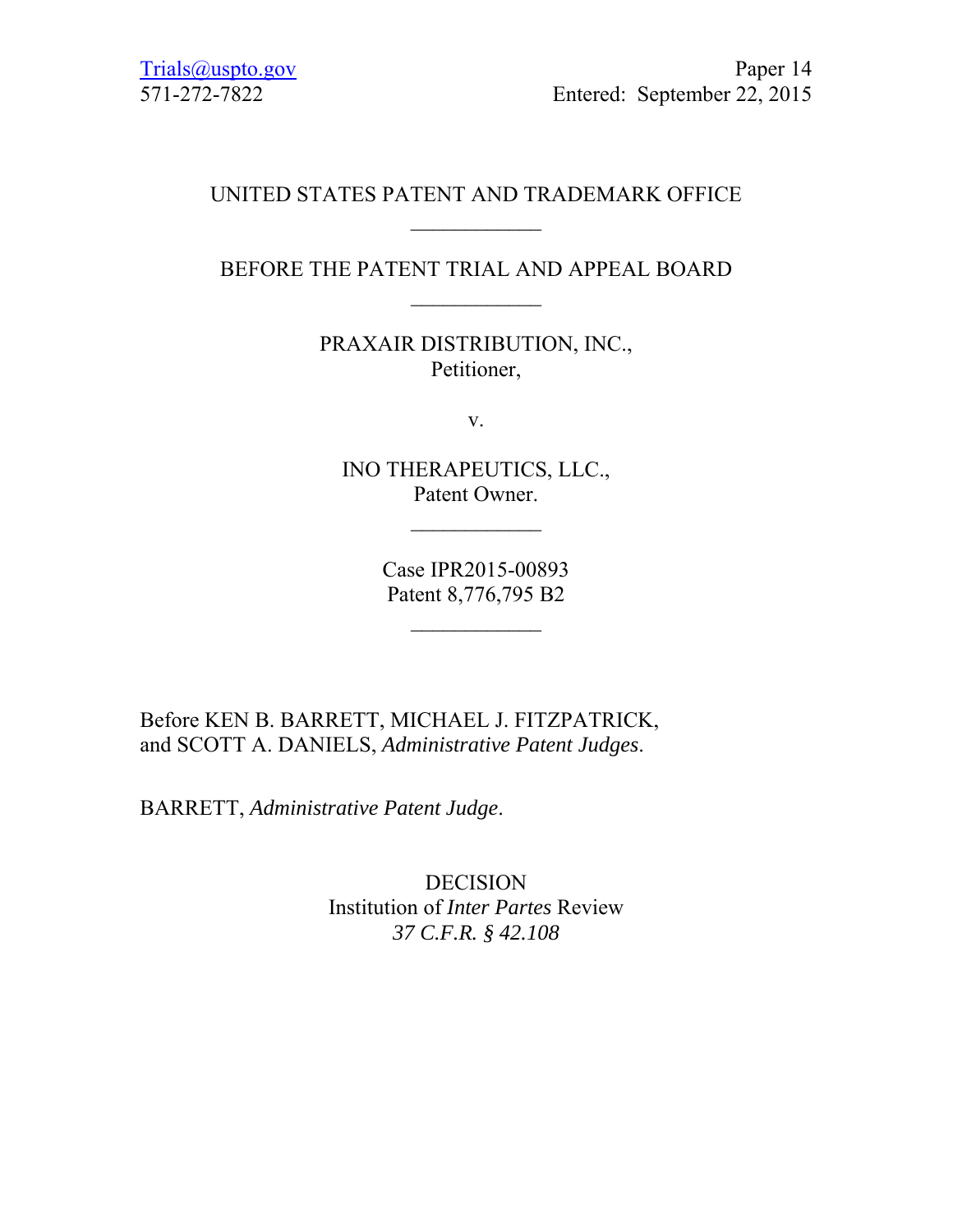## UNITED STATES PATENT AND TRADEMARK OFFICE  $\frac{1}{2}$

## BEFORE THE PATENT TRIAL AND APPEAL BOARD  $\frac{1}{2}$

PRAXAIR DISTRIBUTION, INC., Petitioner,

v.

INO THERAPEUTICS, LLC., Patent Owner.

> Case IPR2015-00893 Patent 8,776,795 B2

> > $\frac{1}{2}$

Before KEN B. BARRETT, MICHAEL J. FITZPATRICK, and SCOTT A. DANIELS, *Administrative Patent Judges*.

BARRETT, *Administrative Patent Judge*.

DECISION Institution of *Inter Partes* Review *37 C.F.R. § 42.108*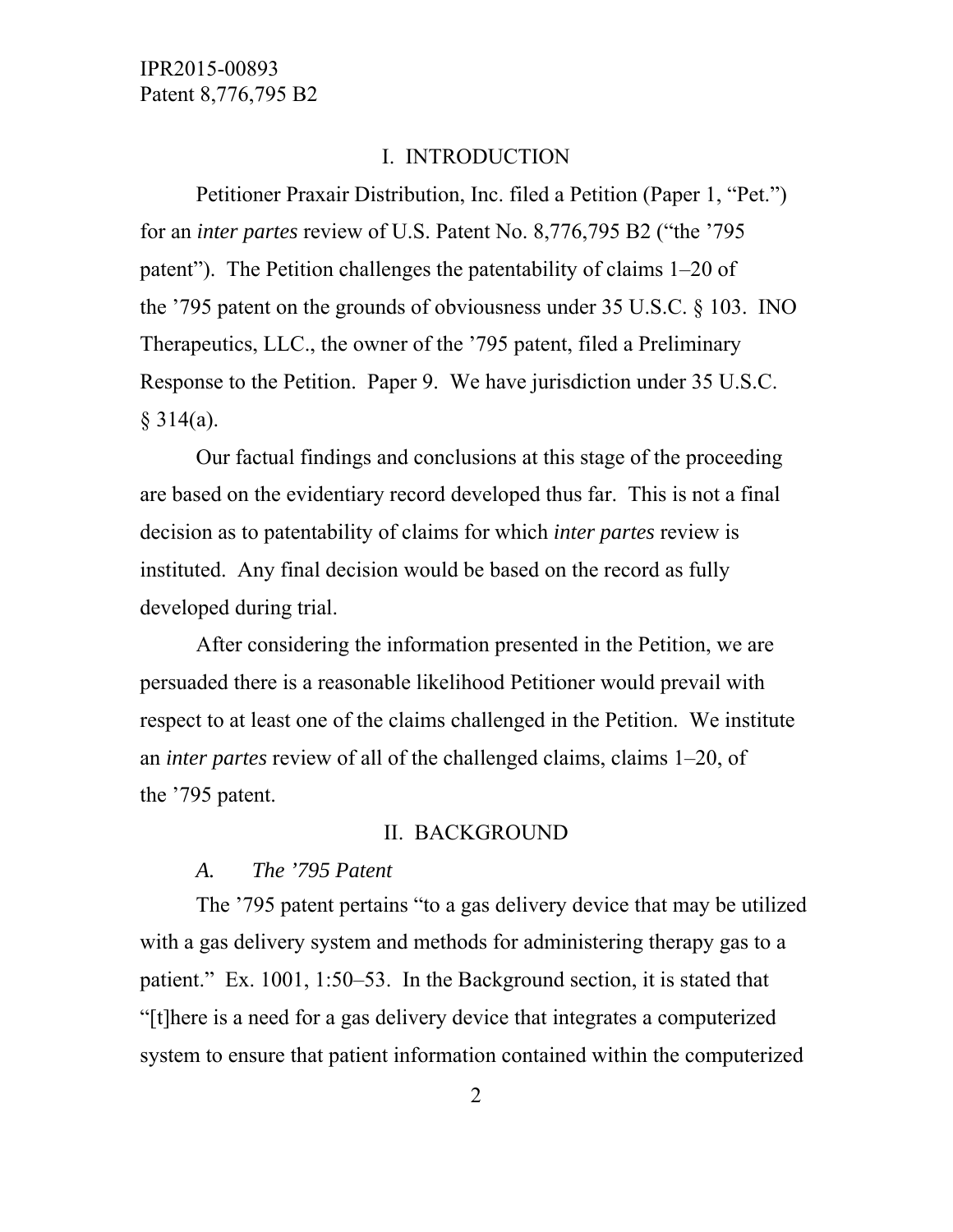### I. INTRODUCTION

 Petitioner Praxair Distribution, Inc. filed a Petition (Paper 1, "Pet.") for an *inter partes* review of U.S. Patent No. 8,776,795 B2 ("the '795 patent"). The Petition challenges the patentability of claims 1–20 of the '795 patent on the grounds of obviousness under 35 U.S.C. § 103. INO Therapeutics, LLC., the owner of the '795 patent, filed a Preliminary Response to the Petition. Paper 9. We have jurisdiction under 35 U.S.C.  $§ 314(a).$ 

 Our factual findings and conclusions at this stage of the proceeding are based on the evidentiary record developed thus far. This is not a final decision as to patentability of claims for which *inter partes* review is instituted. Any final decision would be based on the record as fully developed during trial.

 After considering the information presented in the Petition, we are persuaded there is a reasonable likelihood Petitioner would prevail with respect to at least one of the claims challenged in the Petition. We institute an *inter partes* review of all of the challenged claims, claims 1–20, of the '795 patent.

### II. BACKGROUND

#### *A. The '795 Patent*

 The '795 patent pertains "to a gas delivery device that may be utilized with a gas delivery system and methods for administering therapy gas to a patient." Ex. 1001, 1:50–53. In the Background section, it is stated that "[t]here is a need for a gas delivery device that integrates a computerized system to ensure that patient information contained within the computerized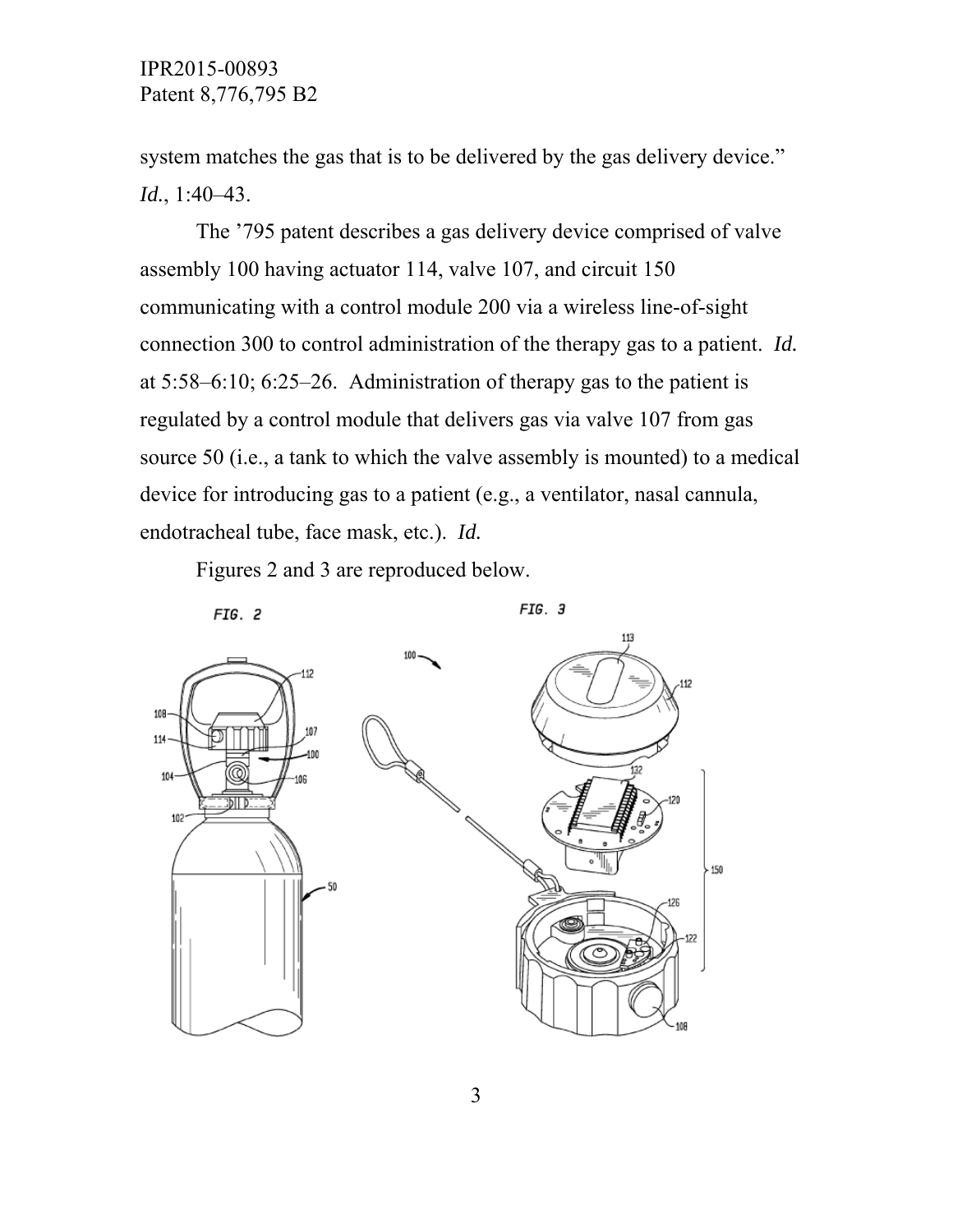system matches the gas that is to be delivered by the gas delivery device." *Id.*, 1:40–43.

 The '795 patent describes a gas delivery device comprised of valve assembly 100 having actuator 114, valve 107, and circuit 150 communicating with a control module 200 via a wireless line-of-sight connection 300 to control administration of the therapy gas to a patient. *Id.* at 5:58–6:10; 6:25–26. Administration of therapy gas to the patient is regulated by a control module that delivers gas via valve 107 from gas source 50 (i.e., a tank to which the valve assembly is mounted) to a medical device for introducing gas to a patient (e.g., a ventilator, nasal cannula, endotracheal tube, face mask, etc.). *Id.*

Figures 2 and 3 are reproduced below.

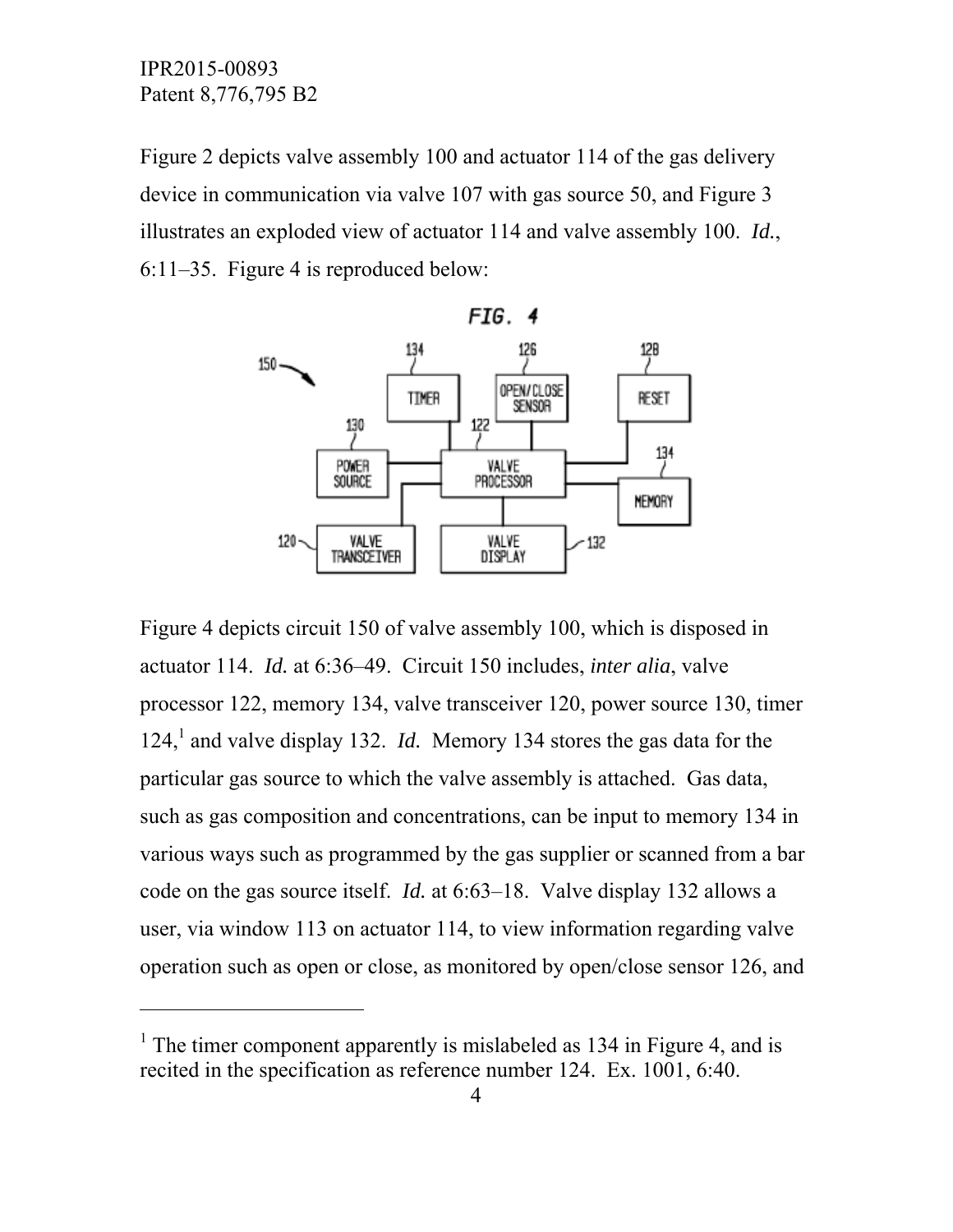-

Figure 2 depicts valve assembly 100 and actuator 114 of the gas delivery device in communication via valve 107 with gas source 50, and Figure 3 illustrates an exploded view of actuator 114 and valve assembly 100. *Id.*, 6:11–35. Figure 4 is reproduced below:



Figure 4 depicts circuit 150 of valve assembly 100, which is disposed in actuator 114. *Id.* at 6:36–49. Circuit 150 includes, *inter alia*, valve processor 122, memory 134, valve transceiver 120, power source 130, timer 124,<sup>1</sup> and valve display 132. *Id.* Memory 134 stores the gas data for the particular gas source to which the valve assembly is attached. Gas data, such as gas composition and concentrations, can be input to memory 134 in various ways such as programmed by the gas supplier or scanned from a bar code on the gas source itself. *Id.* at 6:63–18. Valve display 132 allows a user, via window 113 on actuator 114, to view information regarding valve operation such as open or close, as monitored by open/close sensor 126, and

<sup>&</sup>lt;sup>1</sup> The timer component apparently is mislabeled as 134 in Figure 4, and is recited in the specification as reference number 124. Ex. 1001, 6:40.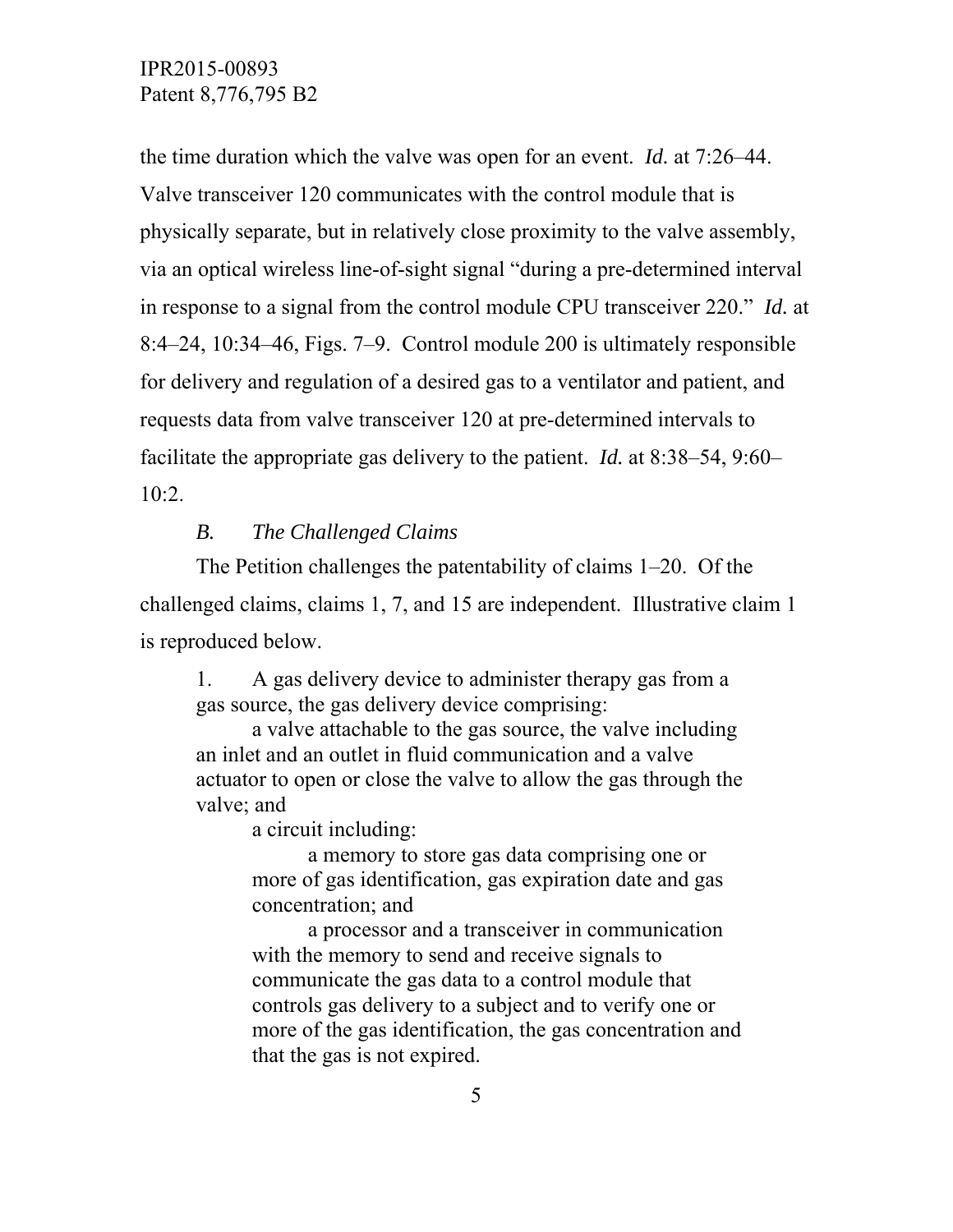the time duration which the valve was open for an event. *Id.* at 7:26–44. Valve transceiver 120 communicates with the control module that is physically separate, but in relatively close proximity to the valve assembly, via an optical wireless line-of-sight signal "during a pre-determined interval in response to a signal from the control module CPU transceiver 220." *Id.* at 8:4–24, 10:34–46, Figs. 7–9. Control module 200 is ultimately responsible for delivery and regulation of a desired gas to a ventilator and patient, and requests data from valve transceiver 120 at pre-determined intervals to facilitate the appropriate gas delivery to the patient. *Id.* at 8:38–54, 9:60– 10:2.

### *B. The Challenged Claims*

 The Petition challenges the patentability of claims 1–20. Of the challenged claims, claims 1, 7, and 15 are independent. Illustrative claim 1 is reproduced below.

1. A gas delivery device to administer therapy gas from a gas source, the gas delivery device comprising:

 a valve attachable to the gas source, the valve including an inlet and an outlet in fluid communication and a valve actuator to open or close the valve to allow the gas through the valve; and

a circuit including:

 a memory to store gas data comprising one or more of gas identification, gas expiration date and gas concentration; and

 a processor and a transceiver in communication with the memory to send and receive signals to communicate the gas data to a control module that controls gas delivery to a subject and to verify one or more of the gas identification, the gas concentration and that the gas is not expired.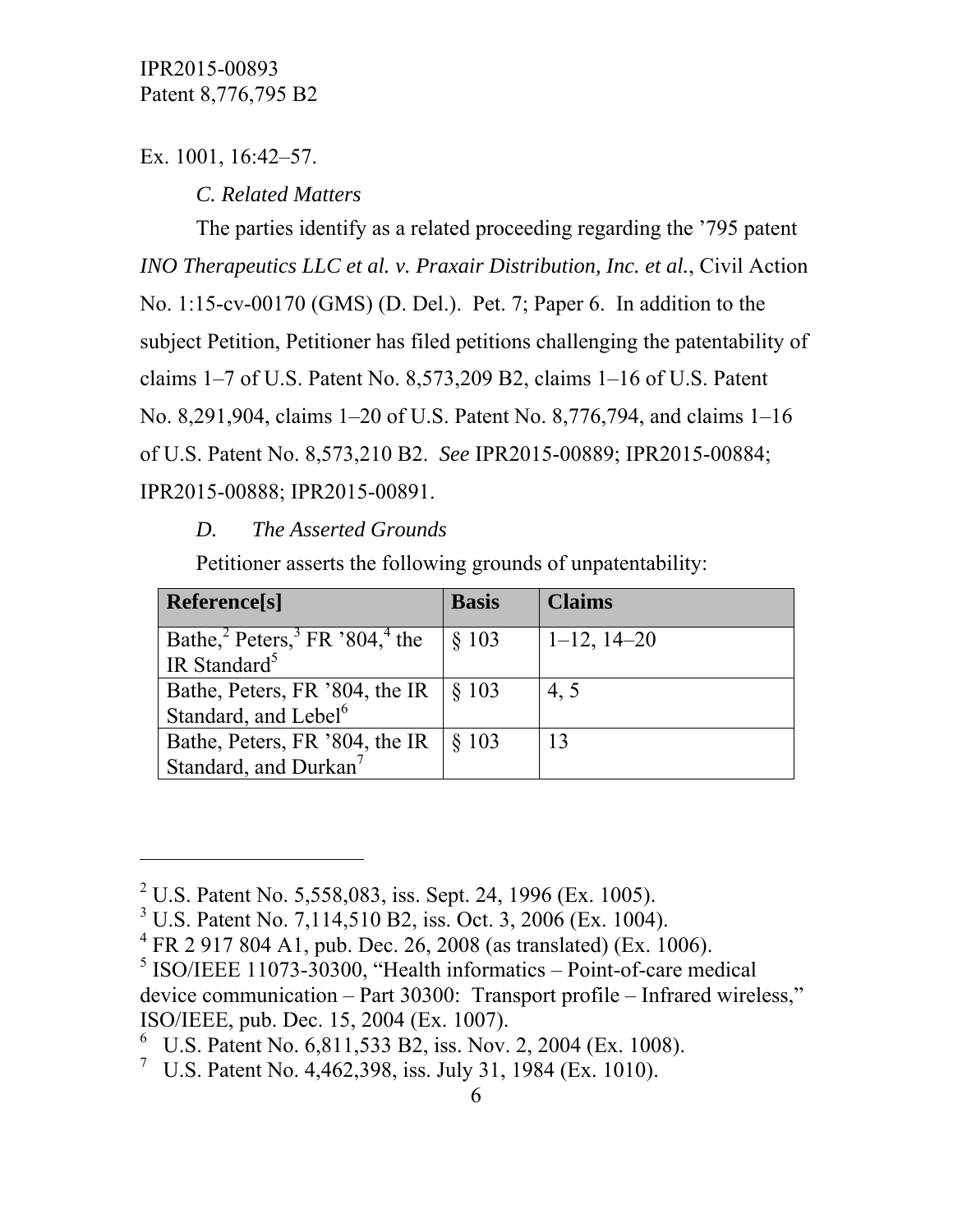Ex. 1001, 16:42–57.

 $\overline{a}$ 

 *C. Related Matters* 

 The parties identify as a related proceeding regarding the '795 patent *INO Therapeutics LLC et al. v. Praxair Distribution, Inc. et al.*, Civil Action No. 1:15-cv-00170 (GMS) (D. Del.). Pet. 7; Paper 6. In addition to the subject Petition, Petitioner has filed petitions challenging the patentability of claims 1–7 of U.S. Patent No. 8,573,209 B2, claims 1–16 of U.S. Patent No. 8,291,904, claims 1–20 of U.S. Patent No. 8,776,794, and claims 1–16 of U.S. Patent No. 8,573,210 B2. *See* IPR2015-00889; IPR2015-00884; IPR2015-00888; IPR2015-00891.

# *D. The Asserted Grounds*

Petitioner asserts the following grounds of unpatentability:

| Reference <sup>[s]</sup>                                           | <b>Basis</b>     | <b>Claims</b>    |
|--------------------------------------------------------------------|------------------|------------------|
| Bathe, ${}^{2}$ Peters, ${}^{3}$ FR ${}^{3}804$ , ${}^{4}$ the     | § 103            | $1-12$ , $14-20$ |
| <sup>I</sup> IR Standard <sup>5</sup>                              |                  |                  |
| Bathe, Peters, FR '804, the IR<br>Standard, and Lebel <sup>6</sup> | $\frac{18}{103}$ | 4, 5             |
|                                                                    |                  |                  |
| Bathe, Peters, FR '804, the IR                                     | \$103            | 13               |
| Standard, and Durkan <sup>7</sup>                                  |                  |                  |

<sup>&</sup>lt;sup>2</sup> U.S. Patent No. 5,558,083, iss. Sept. 24, 1996 (Ex. 1005).

<sup>&</sup>lt;sup>3</sup> U.S. Patent No. 7,114,510 B2, iss. Oct. 3, 2006 (Ex. 1004).

<sup>4</sup> FR 2 917 804 A1, pub. Dec. 26, 2008 (as translated) (Ex. 1006).

 $<sup>5</sup>$  ISO/IEEE 11073-30300, "Health informatics – Point-of-care medical</sup> device communication – Part 30300: Transport profile – Infrared wireless," ISO/IEEE, pub. Dec. 15, 2004 (Ex. 1007).

<sup>6</sup> U.S. Patent No. 6,811,533 B2, iss. Nov. 2, 2004 (Ex. 1008).

<sup>&</sup>lt;sup>7</sup> U.S. Patent No. 4,462,398, iss. July 31, 1984 (Ex. 1010).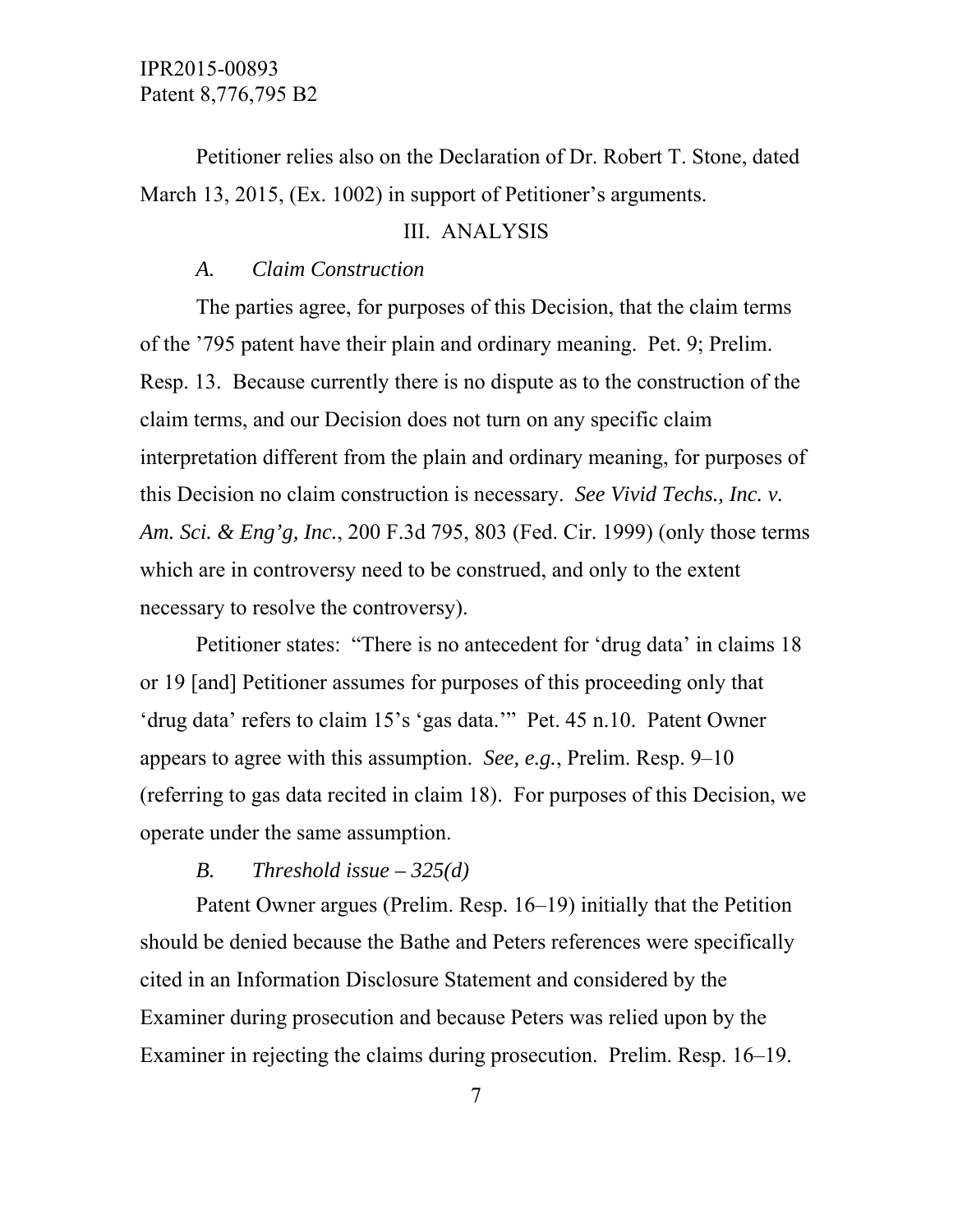Petitioner relies also on the Declaration of Dr. Robert T. Stone, dated March 13, 2015, (Ex. 1002) in support of Petitioner's arguments.

### III. ANALYSIS

## *A. Claim Construction*

 The parties agree, for purposes of this Decision, that the claim terms of the '795 patent have their plain and ordinary meaning. Pet. 9; Prelim. Resp. 13. Because currently there is no dispute as to the construction of the claim terms, and our Decision does not turn on any specific claim interpretation different from the plain and ordinary meaning, for purposes of this Decision no claim construction is necessary. *See Vivid Techs., Inc. v. Am. Sci. & Eng'g, Inc.*, 200 F.3d 795, 803 (Fed. Cir. 1999) (only those terms which are in controversy need to be construed, and only to the extent necessary to resolve the controversy).

 Petitioner states: "There is no antecedent for 'drug data' in claims 18 or 19 [and] Petitioner assumes for purposes of this proceeding only that 'drug data' refers to claim 15's 'gas data.'" Pet. 45 n.10. Patent Owner appears to agree with this assumption. *See, e.g.*, Prelim. Resp. 9–10 (referring to gas data recited in claim 18). For purposes of this Decision, we operate under the same assumption.

### *B. Threshold issue – 325(d)*

 Patent Owner argues (Prelim. Resp. 16–19) initially that the Petition should be denied because the Bathe and Peters references were specifically cited in an Information Disclosure Statement and considered by the Examiner during prosecution and because Peters was relied upon by the Examiner in rejecting the claims during prosecution. Prelim. Resp. 16–19.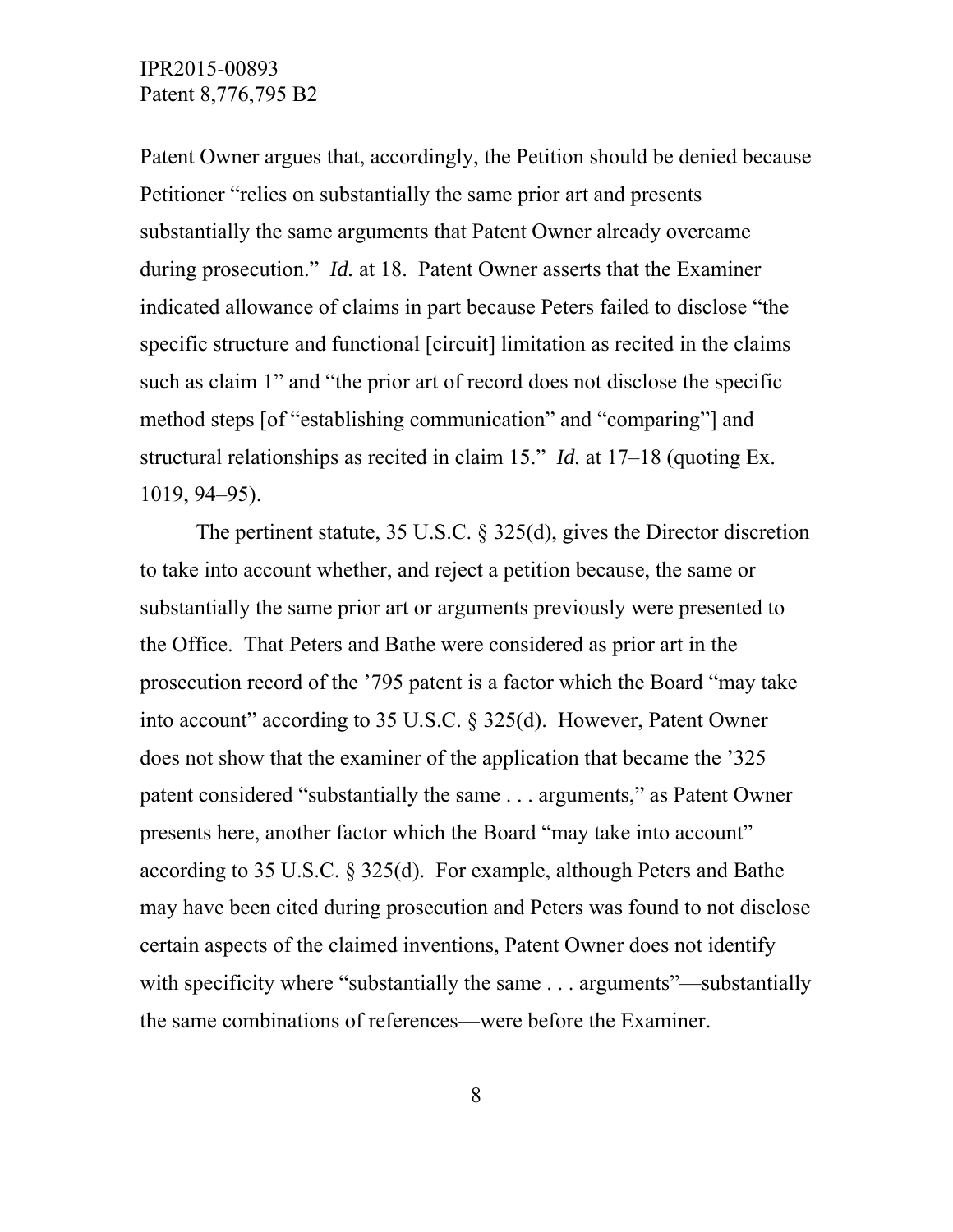Patent Owner argues that, accordingly, the Petition should be denied because Petitioner "relies on substantially the same prior art and presents substantially the same arguments that Patent Owner already overcame during prosecution." *Id.* at 18. Patent Owner asserts that the Examiner indicated allowance of claims in part because Peters failed to disclose "the specific structure and functional [circuit] limitation as recited in the claims such as claim 1" and "the prior art of record does not disclose the specific method steps [of "establishing communication" and "comparing"] and structural relationships as recited in claim 15." *Id.* at 17–18 (quoting Ex. 1019, 94–95).

 The pertinent statute, 35 U.S.C. § 325(d), gives the Director discretion to take into account whether, and reject a petition because, the same or substantially the same prior art or arguments previously were presented to the Office. That Peters and Bathe were considered as prior art in the prosecution record of the '795 patent is a factor which the Board "may take into account" according to 35 U.S.C. § 325(d). However, Patent Owner does not show that the examiner of the application that became the '325 patent considered "substantially the same . . . arguments," as Patent Owner presents here, another factor which the Board "may take into account" according to 35 U.S.C. § 325(d). For example, although Peters and Bathe may have been cited during prosecution and Peters was found to not disclose certain aspects of the claimed inventions, Patent Owner does not identify with specificity where "substantially the same . . . arguments"—substantially the same combinations of references—were before the Examiner.

8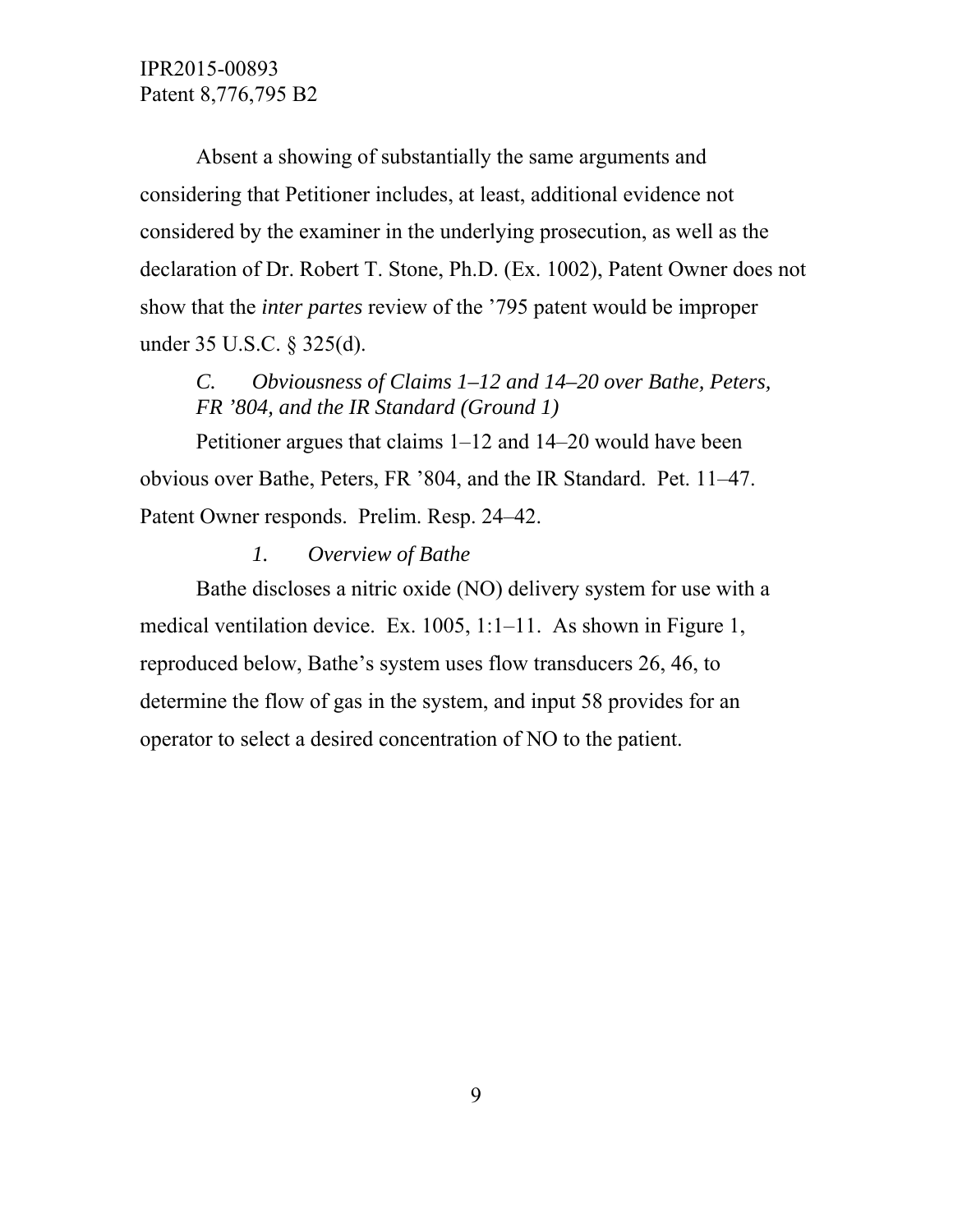Absent a showing of substantially the same arguments and considering that Petitioner includes, at least, additional evidence not considered by the examiner in the underlying prosecution, as well as the declaration of Dr. Robert T. Stone, Ph.D. (Ex. 1002), Patent Owner does not show that the *inter partes* review of the '795 patent would be improper under 35 U.S.C. § 325(d).

*C. Obviousness of Claims 1–12 and 14–20 over Bathe, Peters, FR '804, and the IR Standard (Ground 1)* 

 Petitioner argues that claims 1–12 and 14–20 would have been obvious over Bathe, Peters, FR '804, and the IR Standard. Pet. 11–47. Patent Owner responds. Prelim. Resp. 24–42.

### *1. Overview of Bathe*

 Bathe discloses a nitric oxide (NO) delivery system for use with a medical ventilation device. Ex. 1005, 1:1–11. As shown in Figure 1, reproduced below, Bathe's system uses flow transducers 26, 46, to determine the flow of gas in the system, and input 58 provides for an operator to select a desired concentration of NO to the patient.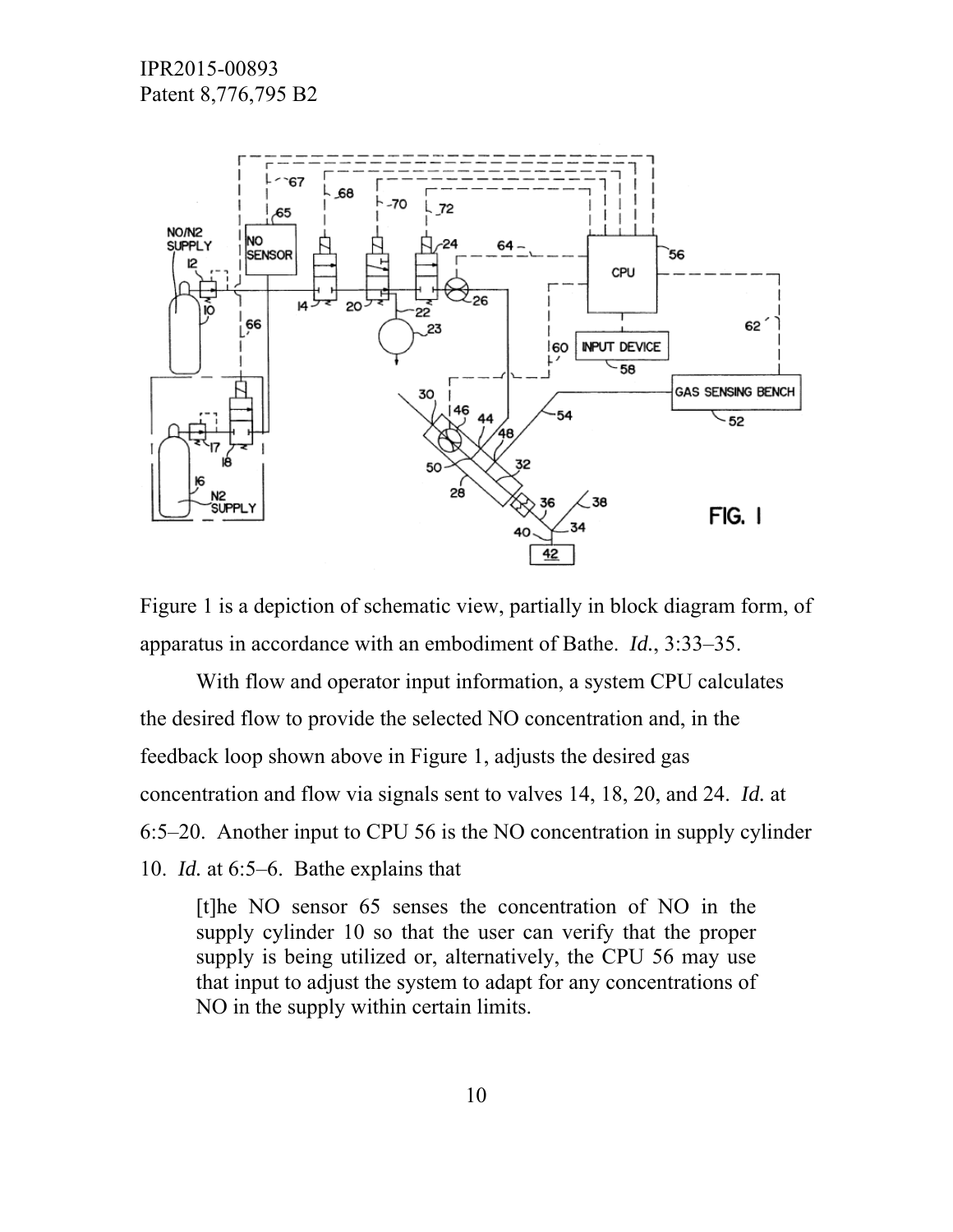

Figure 1 is a depiction of schematic view, partially in block diagram form, of apparatus in accordance with an embodiment of Bathe. *Id.*, 3:33–35.

 With flow and operator input information, a system CPU calculates the desired flow to provide the selected NO concentration and, in the feedback loop shown above in Figure 1, adjusts the desired gas concentration and flow via signals sent to valves 14, 18, 20, and 24. *Id.* at 6:5–20. Another input to CPU 56 is the NO concentration in supply cylinder 10. *Id.* at 6:5–6. Bathe explains that

[t]he NO sensor 65 senses the concentration of NO in the supply cylinder 10 so that the user can verify that the proper supply is being utilized or, alternatively, the CPU 56 may use that input to adjust the system to adapt for any concentrations of NO in the supply within certain limits.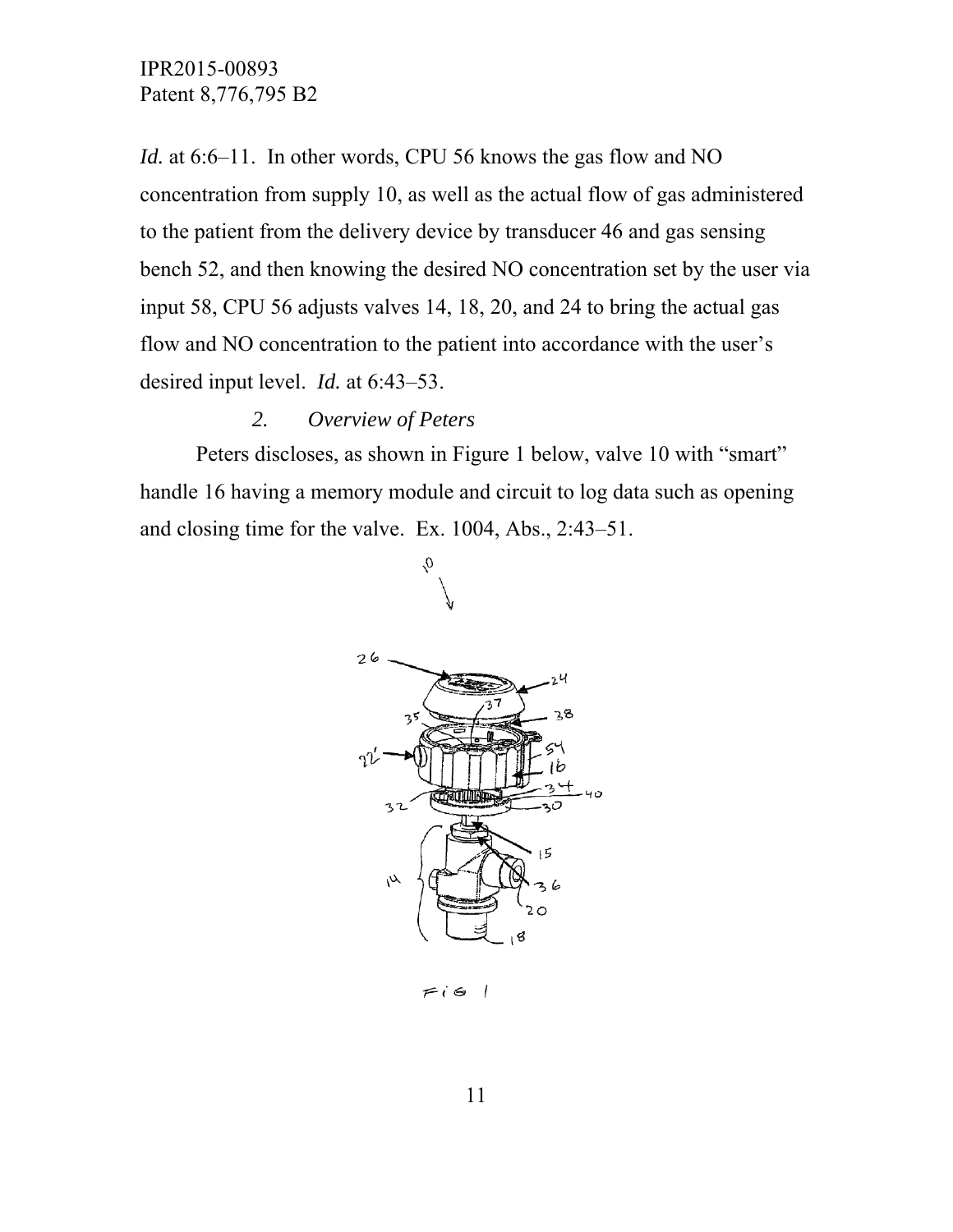*Id.* at 6:6–11. In other words, CPU 56 knows the gas flow and NO concentration from supply 10, as well as the actual flow of gas administered to the patient from the delivery device by transducer 46 and gas sensing bench 52, and then knowing the desired NO concentration set by the user via input 58, CPU 56 adjusts valves 14, 18, 20, and 24 to bring the actual gas flow and NO concentration to the patient into accordance with the user's desired input level. *Id.* at 6:43–53.

#### *2. Overview of Peters*

 Peters discloses, as shown in Figure 1 below, valve 10 with "smart" handle 16 having a memory module and circuit to log data such as opening and closing time for the valve. Ex. 1004, Abs., 2:43–51.



 $1$  ig 1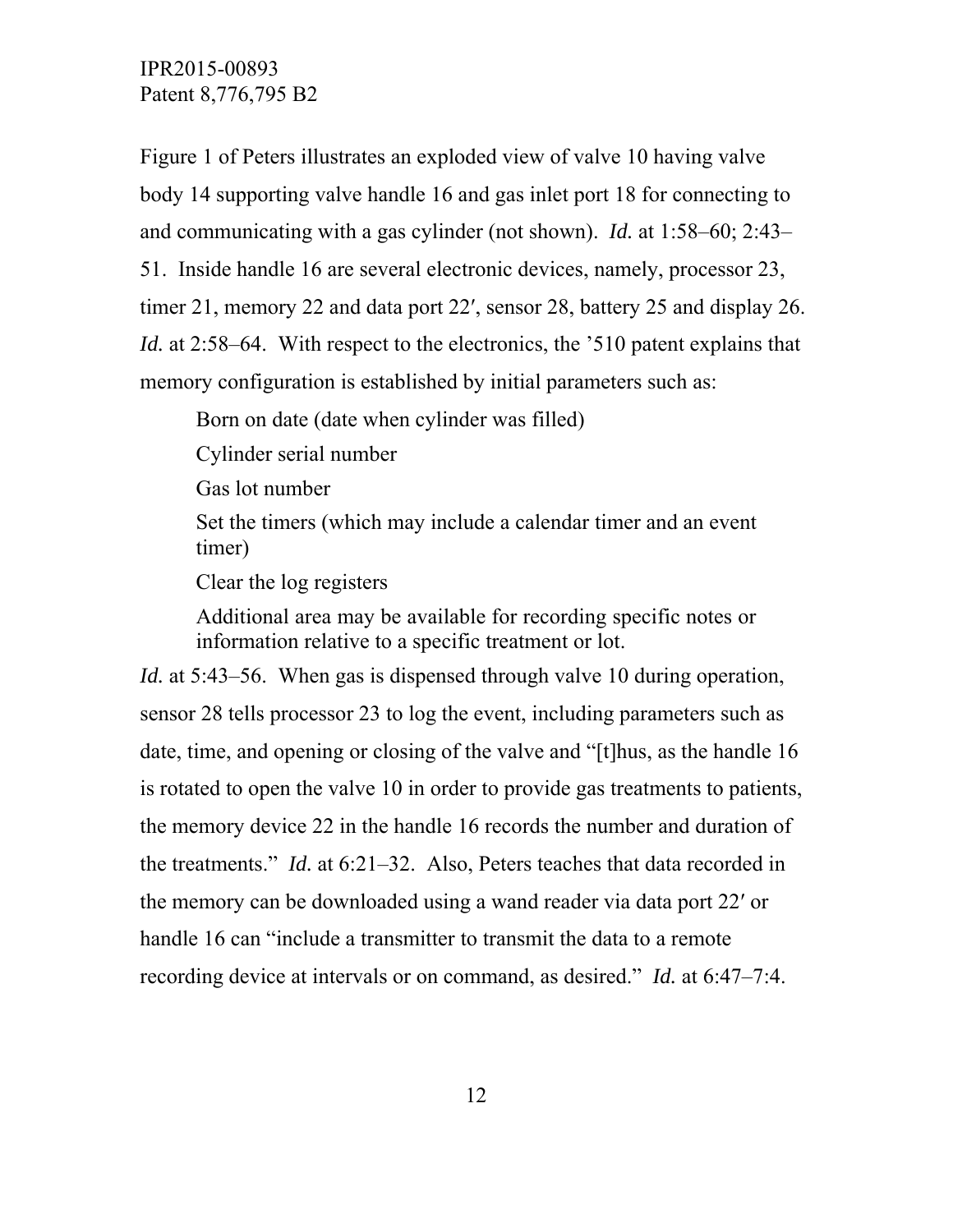Figure 1 of Peters illustrates an exploded view of valve 10 having valve body 14 supporting valve handle 16 and gas inlet port 18 for connecting to and communicating with a gas cylinder (not shown). *Id.* at 1:58–60; 2:43– 51. Inside handle 16 are several electronic devices, namely, processor 23, timer 21, memory 22 and data port 22ʹ, sensor 28, battery 25 and display 26. *Id.* at 2:58–64. With respect to the electronics, the '510 patent explains that memory configuration is established by initial parameters such as:

Born on date (date when cylinder was filled)

Cylinder serial number

Gas lot number

Set the timers (which may include a calendar timer and an event timer)

Clear the log registers

Additional area may be available for recording specific notes or information relative to a specific treatment or lot.

*Id.* at 5:43–56. When gas is dispensed through valve 10 during operation, sensor 28 tells processor 23 to log the event, including parameters such as date, time, and opening or closing of the valve and "[t]hus, as the handle 16 is rotated to open the valve 10 in order to provide gas treatments to patients, the memory device 22 in the handle 16 records the number and duration of the treatments." *Id.* at 6:21–32. Also, Peters teaches that data recorded in the memory can be downloaded using a wand reader via data port 22ʹ or handle 16 can "include a transmitter to transmit the data to a remote recording device at intervals or on command, as desired." *Id.* at 6:47–7:4.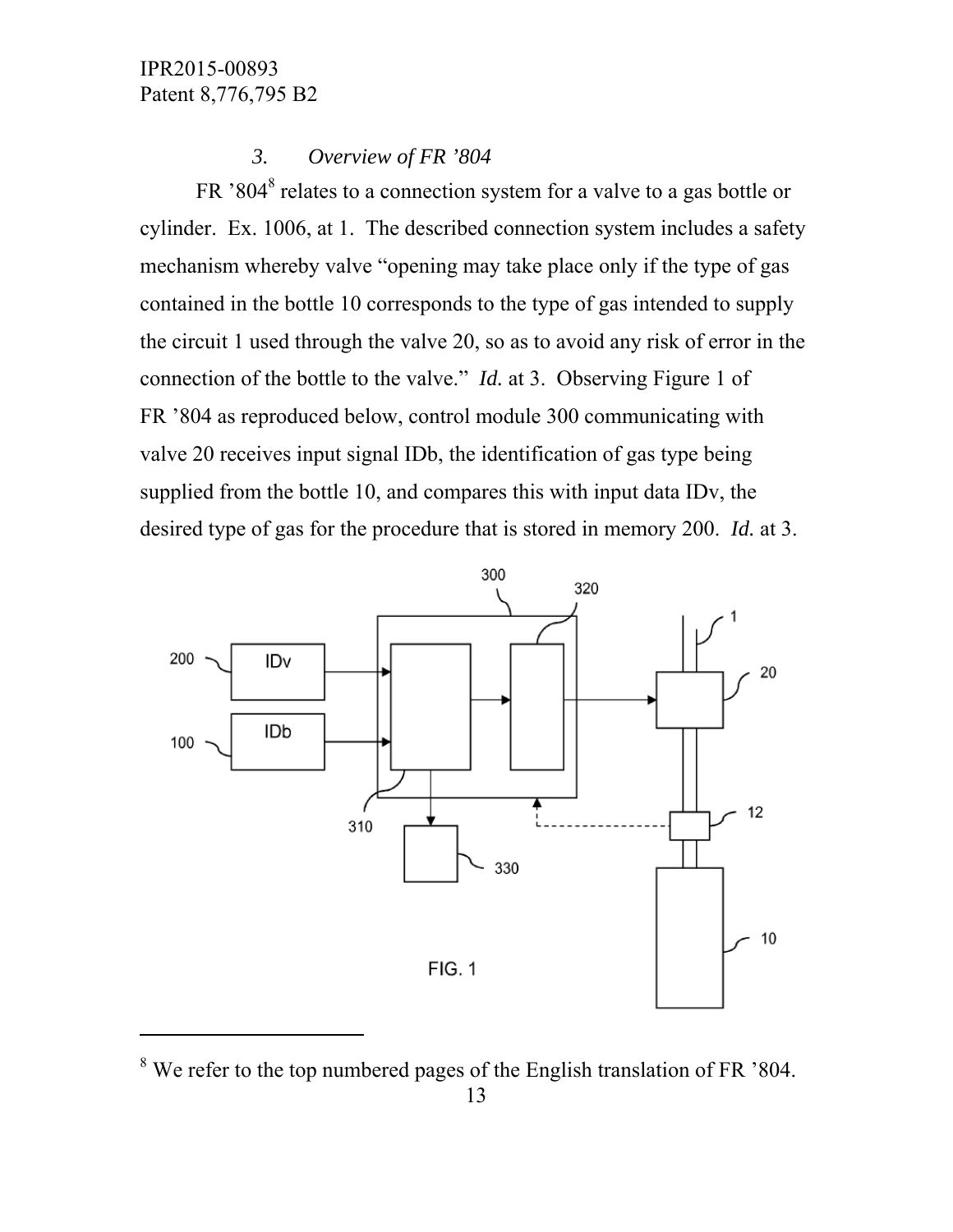# *3. Overview of FR '804*

FR '804<sup>8</sup> relates to a connection system for a valve to a gas bottle or cylinder. Ex. 1006, at 1. The described connection system includes a safety mechanism whereby valve "opening may take place only if the type of gas contained in the bottle 10 corresponds to the type of gas intended to supply the circuit 1 used through the valve 20, so as to avoid any risk of error in the connection of the bottle to the valve." *Id.* at 3. Observing Figure 1 of FR '804 as reproduced below, control module 300 communicating with valve 20 receives input signal IDb, the identification of gas type being supplied from the bottle 10, and compares this with input data IDv, the desired type of gas for the procedure that is stored in memory 200. *Id.* at 3.



 $8$  We refer to the top numbered pages of the English translation of FR  $304$ .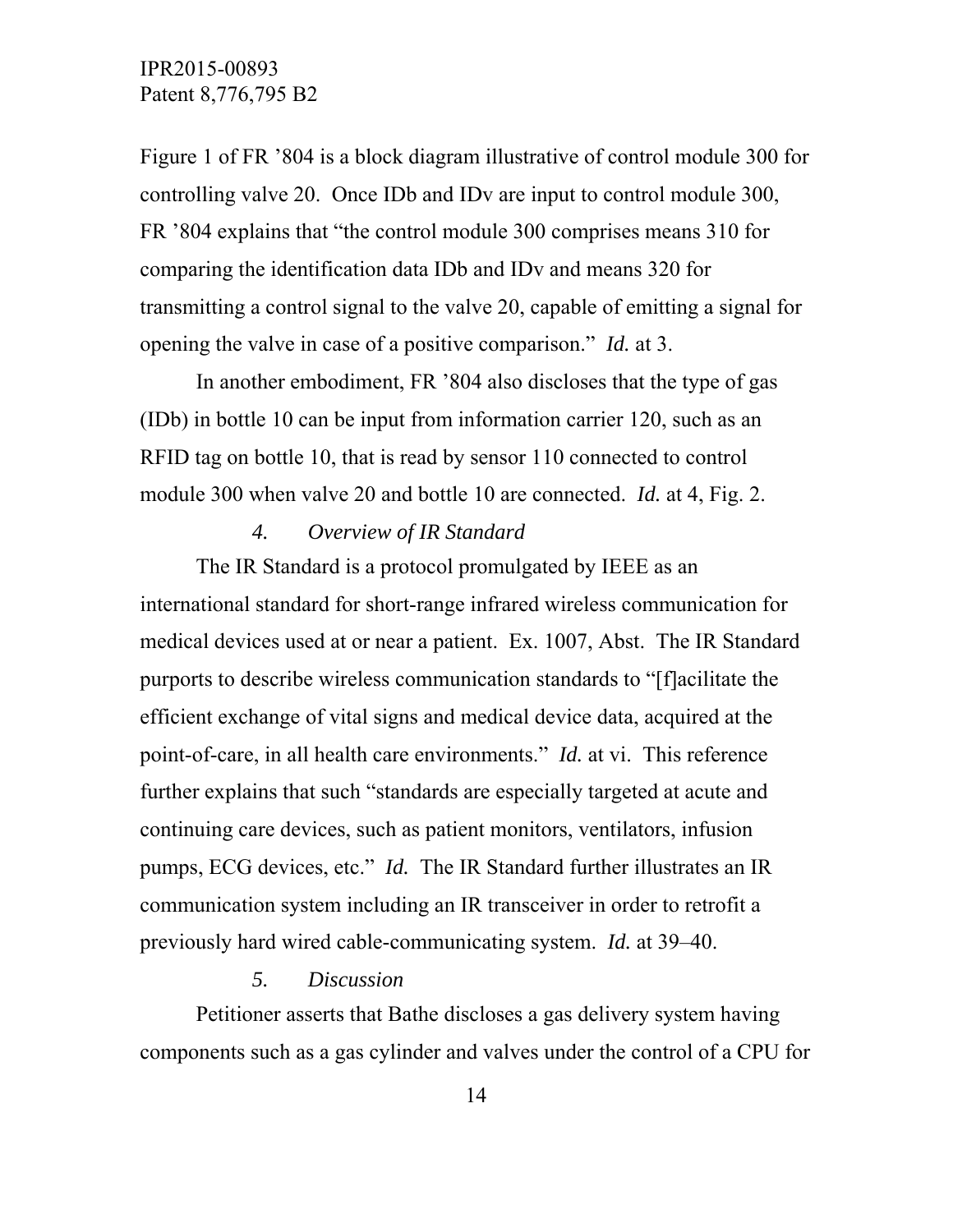Figure 1 of FR '804 is a block diagram illustrative of control module 300 for controlling valve 20. Once IDb and IDv are input to control module 300, FR '804 explains that "the control module 300 comprises means 310 for comparing the identification data IDb and IDv and means 320 for transmitting a control signal to the valve 20, capable of emitting a signal for opening the valve in case of a positive comparison." *Id.* at 3.

 In another embodiment, FR '804 also discloses that the type of gas (IDb) in bottle 10 can be input from information carrier 120, such as an RFID tag on bottle 10, that is read by sensor 110 connected to control module 300 when valve 20 and bottle 10 are connected. *Id.* at 4, Fig. 2.

### *4. Overview of IR Standard*

 The IR Standard is a protocol promulgated by IEEE as an international standard for short-range infrared wireless communication for medical devices used at or near a patient. Ex. 1007, Abst. The IR Standard purports to describe wireless communication standards to "[f]acilitate the efficient exchange of vital signs and medical device data, acquired at the point-of-care, in all health care environments." *Id.* at vi. This reference further explains that such "standards are especially targeted at acute and continuing care devices, such as patient monitors, ventilators, infusion pumps, ECG devices, etc." *Id.* The IR Standard further illustrates an IR communication system including an IR transceiver in order to retrofit a previously hard wired cable-communicating system. *Id.* at 39–40.

### *5. Discussion*

 Petitioner asserts that Bathe discloses a gas delivery system having components such as a gas cylinder and valves under the control of a CPU for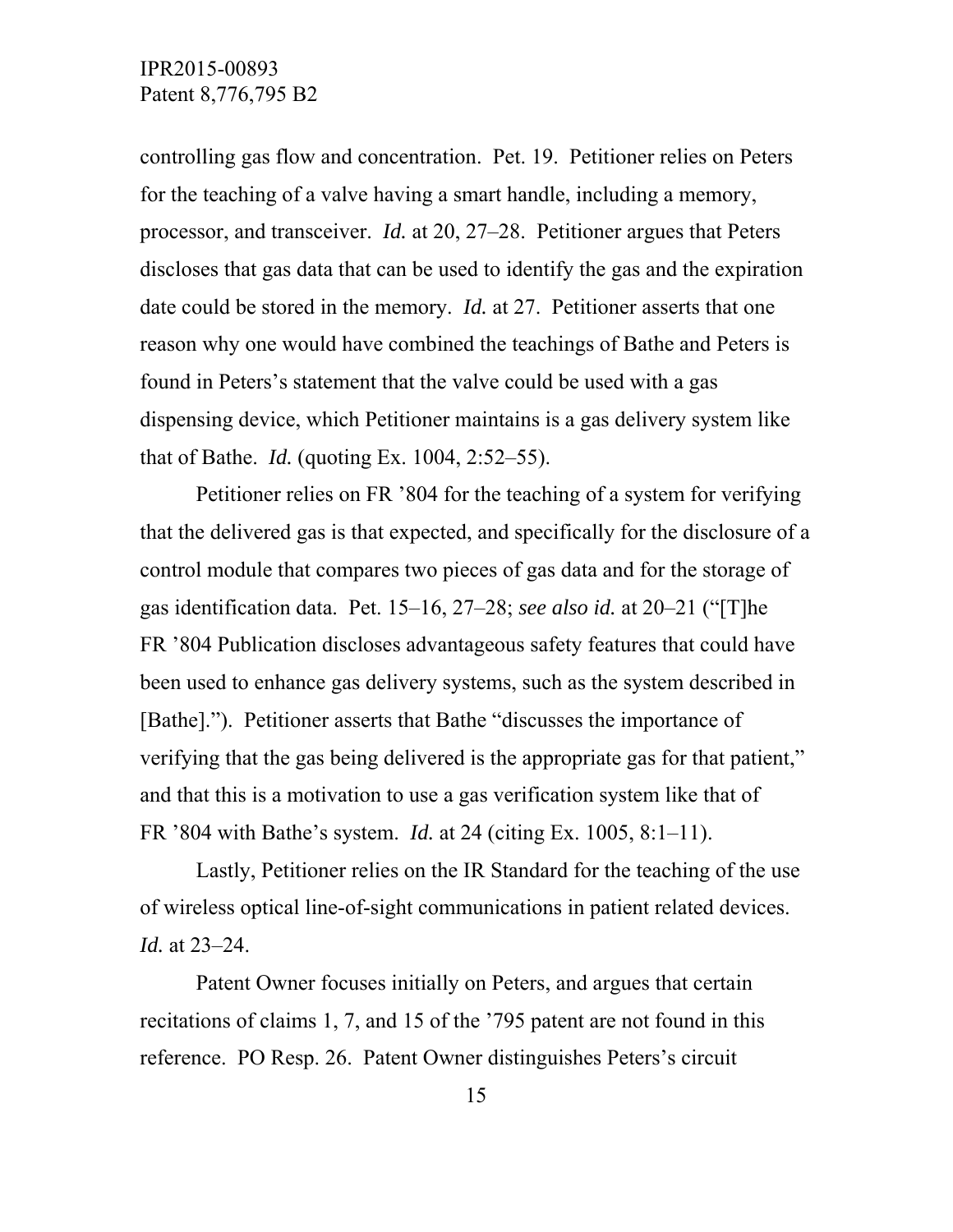controlling gas flow and concentration. Pet. 19. Petitioner relies on Peters for the teaching of a valve having a smart handle, including a memory, processor, and transceiver. *Id.* at 20, 27–28. Petitioner argues that Peters discloses that gas data that can be used to identify the gas and the expiration date could be stored in the memory. *Id.* at 27. Petitioner asserts that one reason why one would have combined the teachings of Bathe and Peters is found in Peters's statement that the valve could be used with a gas dispensing device, which Petitioner maintains is a gas delivery system like that of Bathe. *Id.* (quoting Ex. 1004, 2:52–55).

 Petitioner relies on FR '804 for the teaching of a system for verifying that the delivered gas is that expected, and specifically for the disclosure of a control module that compares two pieces of gas data and for the storage of gas identification data. Pet. 15–16, 27–28; *see also id.* at 20–21 ("[T]he FR '804 Publication discloses advantageous safety features that could have been used to enhance gas delivery systems, such as the system described in [Bathe]."). Petitioner asserts that Bathe "discusses the importance of verifying that the gas being delivered is the appropriate gas for that patient," and that this is a motivation to use a gas verification system like that of FR '804 with Bathe's system. *Id.* at 24 (citing Ex. 1005, 8:1–11).

 Lastly, Petitioner relies on the IR Standard for the teaching of the use of wireless optical line-of-sight communications in patient related devices. *Id.* at 23–24.

 Patent Owner focuses initially on Peters, and argues that certain recitations of claims 1, 7, and 15 of the '795 patent are not found in this reference. PO Resp. 26. Patent Owner distinguishes Peters's circuit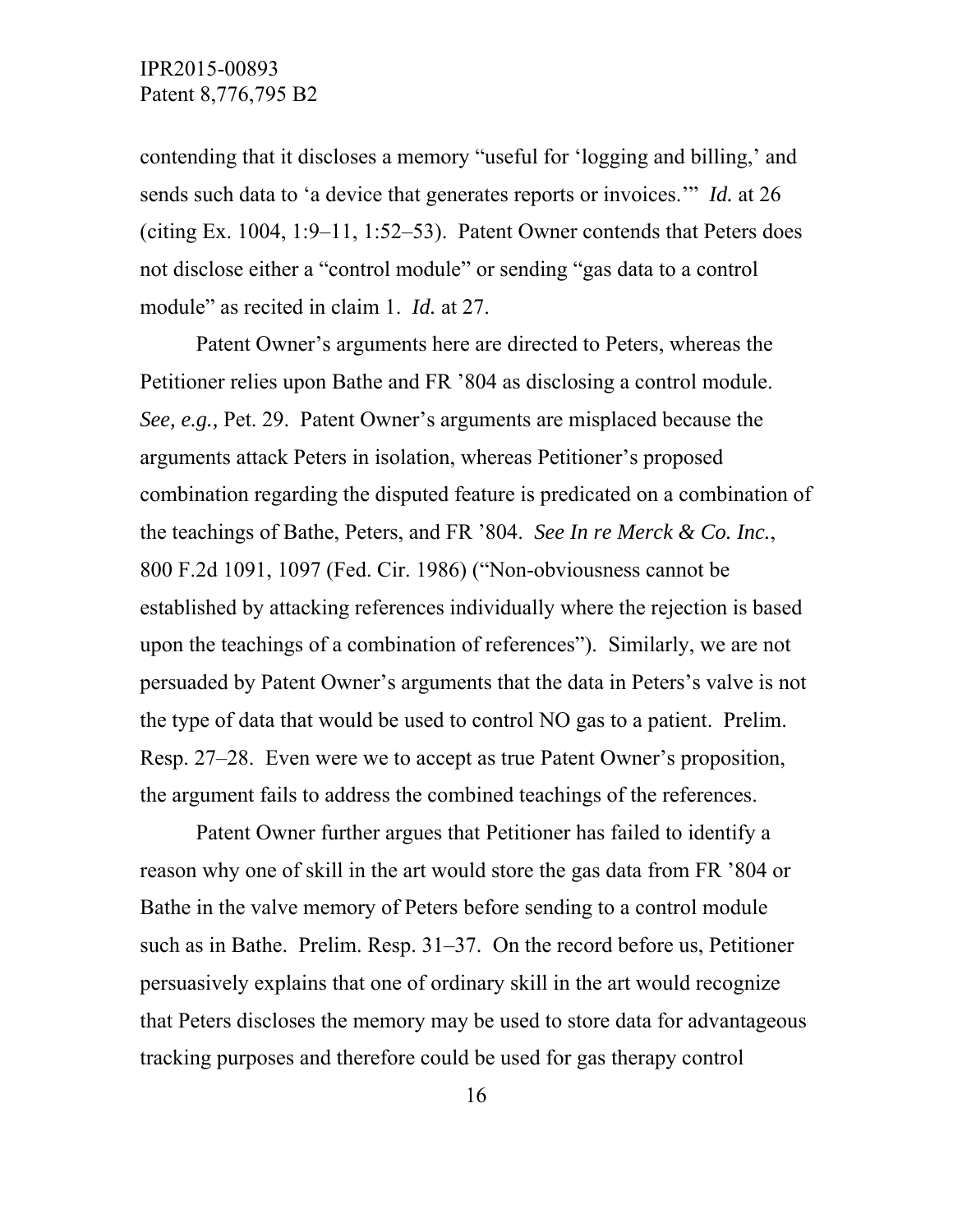contending that it discloses a memory "useful for 'logging and billing,' and sends such data to 'a device that generates reports or invoices.'" *Id.* at 26 (citing Ex. 1004, 1:9–11, 1:52–53). Patent Owner contends that Peters does not disclose either a "control module" or sending "gas data to a control module" as recited in claim 1. *Id.* at 27.

Patent Owner's arguments here are directed to Peters, whereas the Petitioner relies upon Bathe and FR '804 as disclosing a control module. *See, e.g.,* Pet. 29. Patent Owner's arguments are misplaced because the arguments attack Peters in isolation, whereas Petitioner's proposed combination regarding the disputed feature is predicated on a combination of the teachings of Bathe, Peters, and FR '804. *See In re Merck & Co. Inc.*, 800 F.2d 1091, 1097 (Fed. Cir. 1986) ("Non-obviousness cannot be established by attacking references individually where the rejection is based upon the teachings of a combination of references"). Similarly, we are not persuaded by Patent Owner's arguments that the data in Peters's valve is not the type of data that would be used to control NO gas to a patient. Prelim. Resp. 27–28. Even were we to accept as true Patent Owner's proposition, the argument fails to address the combined teachings of the references.

 Patent Owner further argues that Petitioner has failed to identify a reason why one of skill in the art would store the gas data from FR '804 or Bathe in the valve memory of Peters before sending to a control module such as in Bathe. Prelim. Resp. 31–37. On the record before us, Petitioner persuasively explains that one of ordinary skill in the art would recognize that Peters discloses the memory may be used to store data for advantageous tracking purposes and therefore could be used for gas therapy control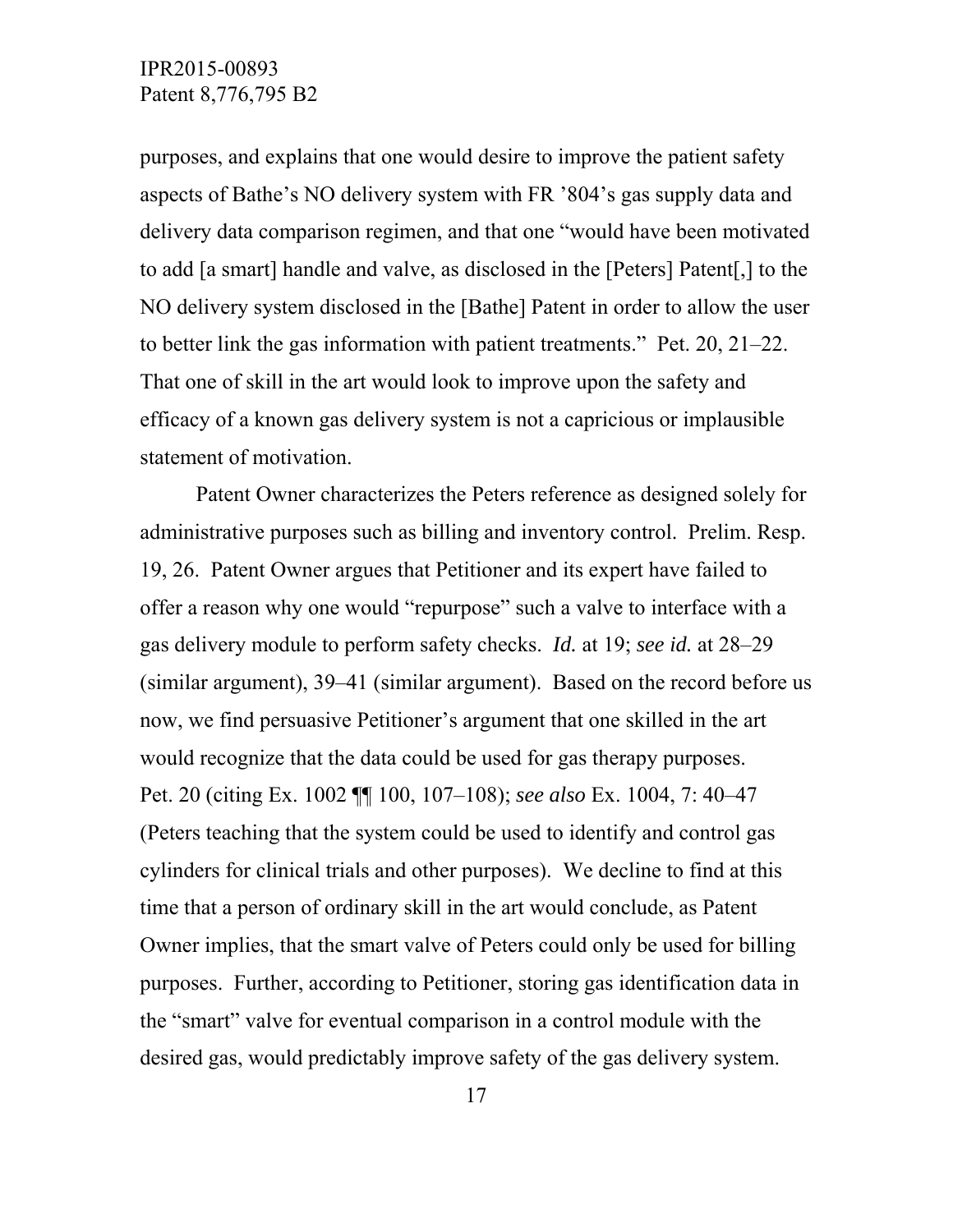purposes, and explains that one would desire to improve the patient safety aspects of Bathe's NO delivery system with FR '804's gas supply data and delivery data comparison regimen, and that one "would have been motivated to add [a smart] handle and valve, as disclosed in the [Peters] Patent[,] to the NO delivery system disclosed in the [Bathe] Patent in order to allow the user to better link the gas information with patient treatments." Pet. 20, 21–22. That one of skill in the art would look to improve upon the safety and efficacy of a known gas delivery system is not a capricious or implausible statement of motivation.

 Patent Owner characterizes the Peters reference as designed solely for administrative purposes such as billing and inventory control. Prelim. Resp. 19, 26. Patent Owner argues that Petitioner and its expert have failed to offer a reason why one would "repurpose" such a valve to interface with a gas delivery module to perform safety checks. *Id.* at 19; *see id.* at 28–29 (similar argument), 39–41 (similar argument). Based on the record before us now, we find persuasive Petitioner's argument that one skilled in the art would recognize that the data could be used for gas therapy purposes. Pet. 20 (citing Ex. 1002 ¶¶ 100, 107–108); *see also* Ex. 1004, 7: 40–47 (Peters teaching that the system could be used to identify and control gas cylinders for clinical trials and other purposes). We decline to find at this time that a person of ordinary skill in the art would conclude, as Patent Owner implies, that the smart valve of Peters could only be used for billing purposes. Further, according to Petitioner, storing gas identification data in the "smart" valve for eventual comparison in a control module with the desired gas, would predictably improve safety of the gas delivery system.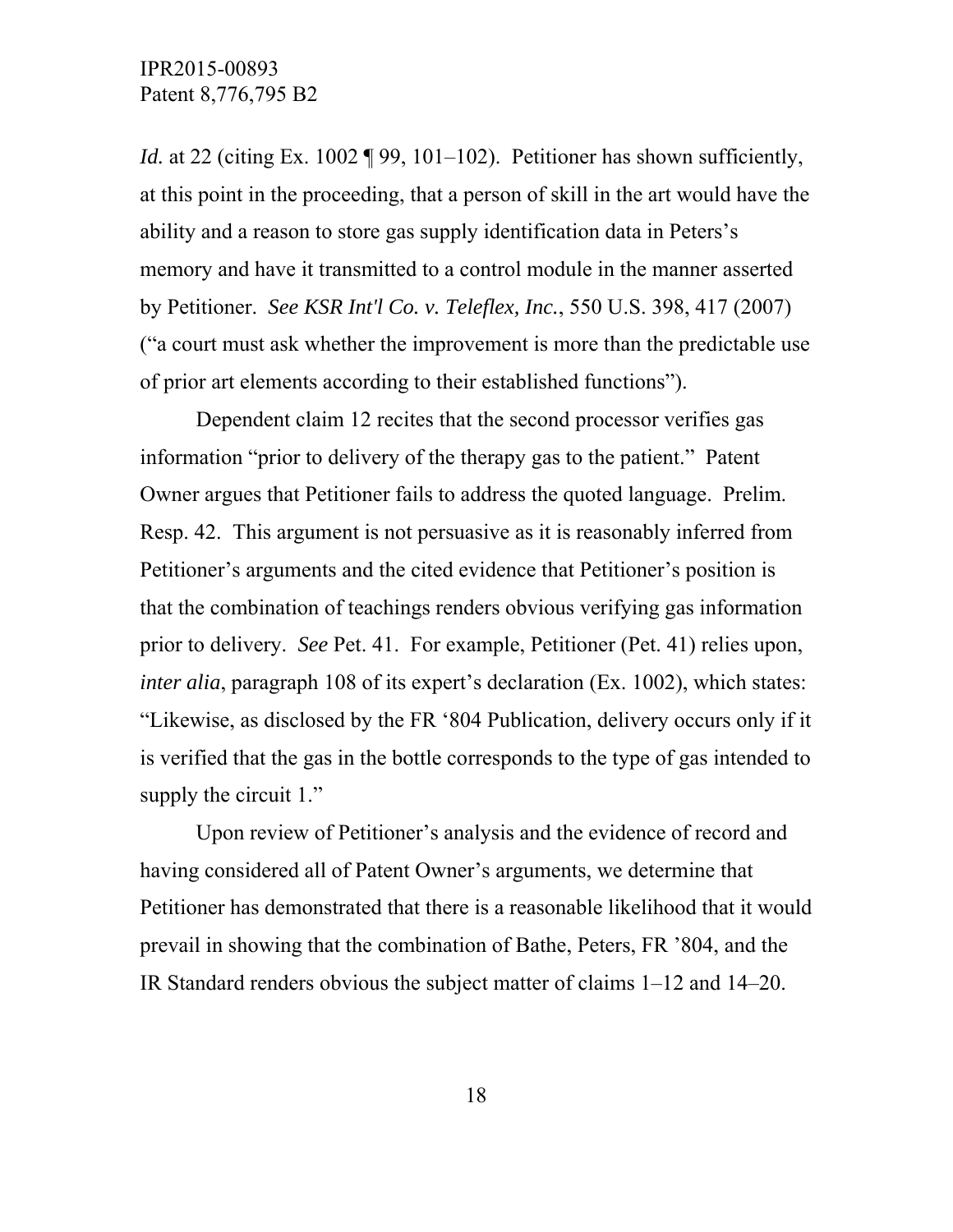*Id.* at 22 (citing Ex. 1002 ¶ 99, 101–102). Petitioner has shown sufficiently, at this point in the proceeding, that a person of skill in the art would have the ability and a reason to store gas supply identification data in Peters's memory and have it transmitted to a control module in the manner asserted by Petitioner. *See KSR Int'l Co. v. Teleflex, Inc.*, 550 U.S. 398, 417 (2007) ("a court must ask whether the improvement is more than the predictable use of prior art elements according to their established functions").

 Dependent claim 12 recites that the second processor verifies gas information "prior to delivery of the therapy gas to the patient." Patent Owner argues that Petitioner fails to address the quoted language. Prelim. Resp. 42. This argument is not persuasive as it is reasonably inferred from Petitioner's arguments and the cited evidence that Petitioner's position is that the combination of teachings renders obvious verifying gas information prior to delivery. *See* Pet. 41. For example, Petitioner (Pet. 41) relies upon, *inter alia*, paragraph 108 of its expert's declaration (Ex. 1002), which states: "Likewise, as disclosed by the FR '804 Publication, delivery occurs only if it is verified that the gas in the bottle corresponds to the type of gas intended to supply the circuit 1."

 Upon review of Petitioner's analysis and the evidence of record and having considered all of Patent Owner's arguments, we determine that Petitioner has demonstrated that there is a reasonable likelihood that it would prevail in showing that the combination of Bathe, Peters, FR '804, and the IR Standard renders obvious the subject matter of claims 1–12 and 14–20.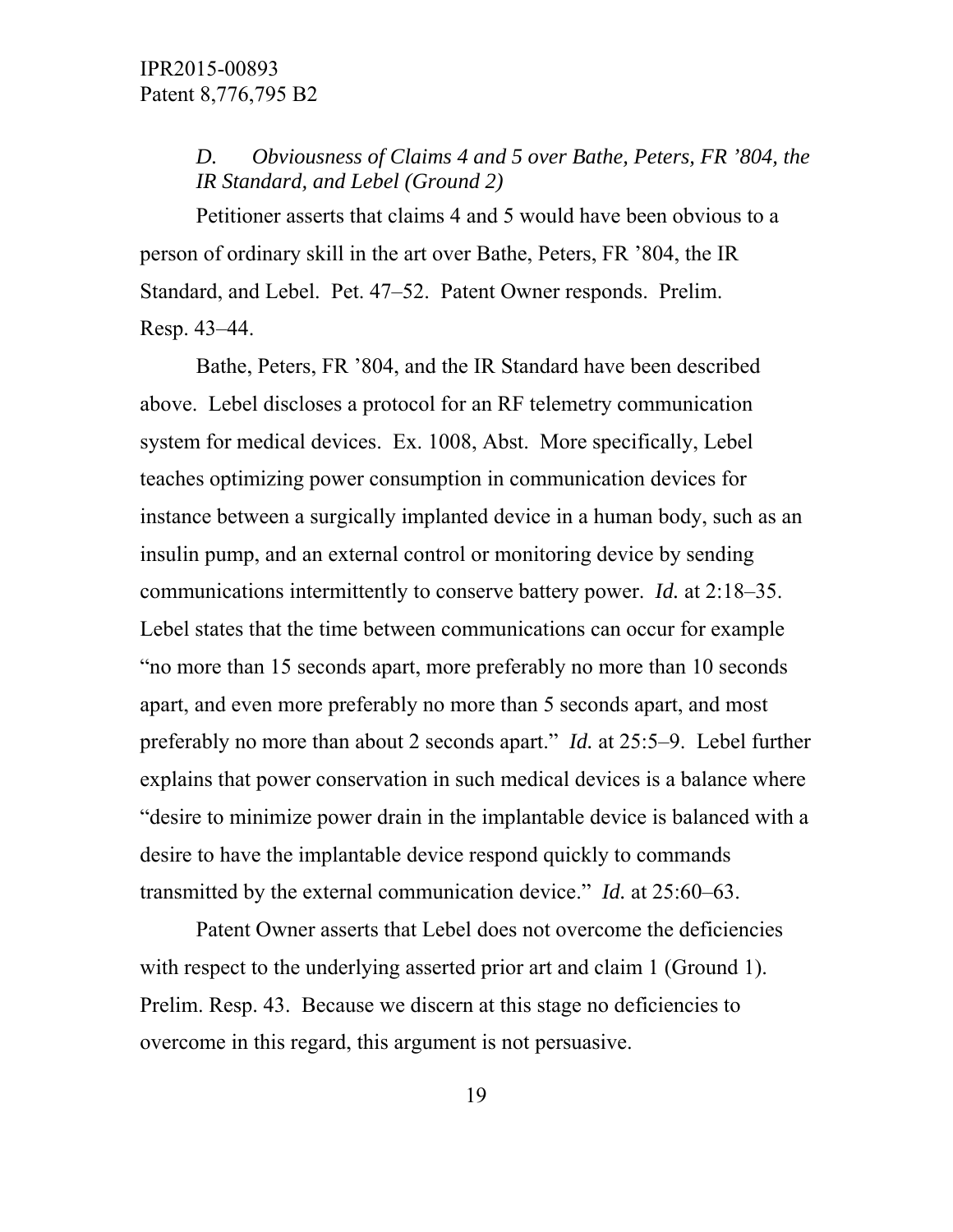*D. Obviousness of Claims 4 and 5 over Bathe, Peters, FR '804, the IR Standard, and Lebel (Ground 2)* 

 Petitioner asserts that claims 4 and 5 would have been obvious to a person of ordinary skill in the art over Bathe, Peters, FR '804, the IR Standard, and Lebel. Pet. 47–52. Patent Owner responds. Prelim. Resp. 43–44.

 Bathe, Peters, FR '804, and the IR Standard have been described above. Lebel discloses a protocol for an RF telemetry communication system for medical devices. Ex. 1008, Abst. More specifically, Lebel teaches optimizing power consumption in communication devices for instance between a surgically implanted device in a human body, such as an insulin pump, and an external control or monitoring device by sending communications intermittently to conserve battery power. *Id.* at 2:18–35. Lebel states that the time between communications can occur for example "no more than 15 seconds apart, more preferably no more than 10 seconds apart, and even more preferably no more than 5 seconds apart, and most preferably no more than about 2 seconds apart." *Id.* at 25:5–9. Lebel further explains that power conservation in such medical devices is a balance where "desire to minimize power drain in the implantable device is balanced with a desire to have the implantable device respond quickly to commands transmitted by the external communication device." *Id.* at 25:60–63.

Patent Owner asserts that Lebel does not overcome the deficiencies with respect to the underlying asserted prior art and claim 1 (Ground 1). Prelim. Resp. 43. Because we discern at this stage no deficiencies to overcome in this regard, this argument is not persuasive.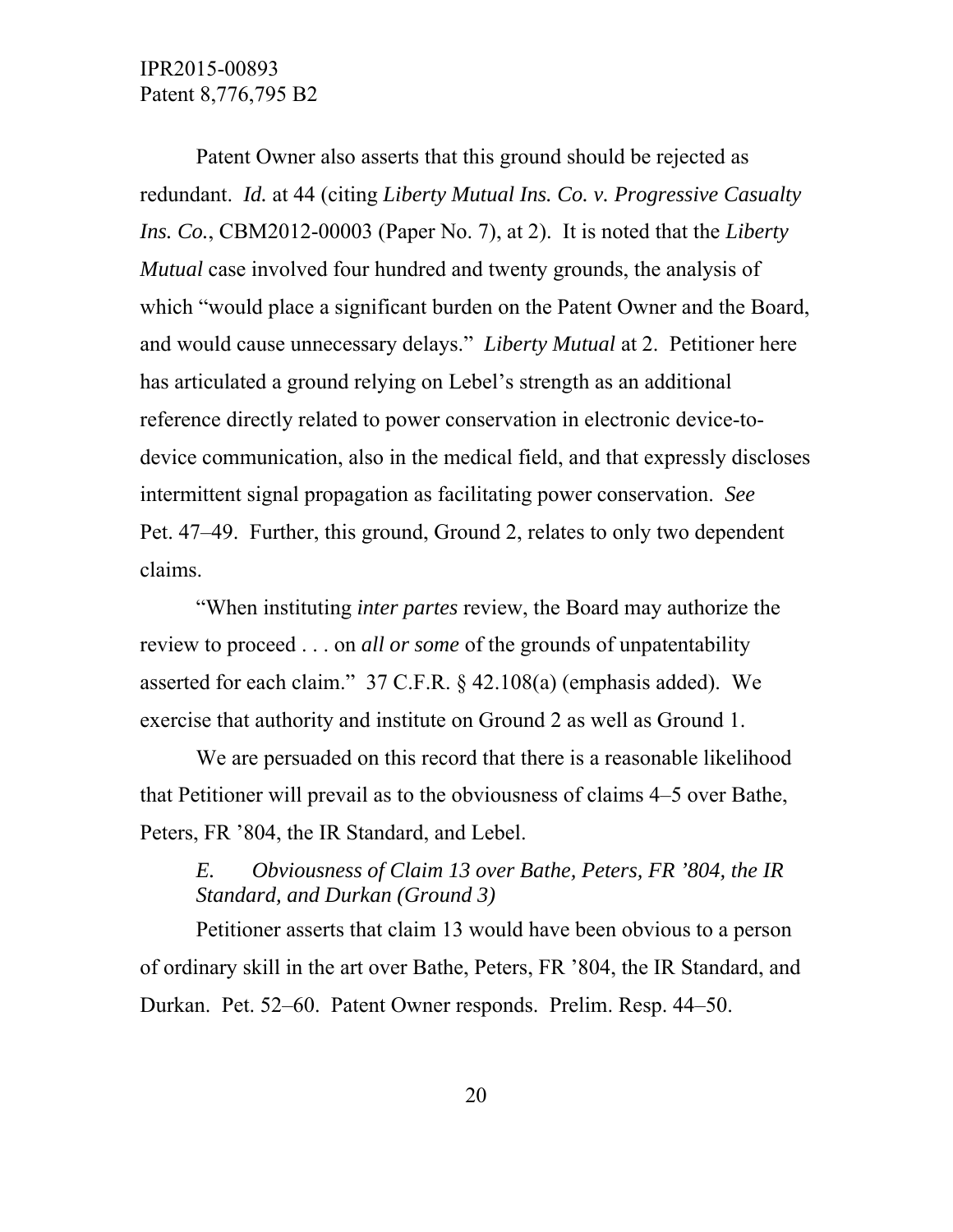Patent Owner also asserts that this ground should be rejected as redundant. *Id.* at 44 (citing *Liberty Mutual Ins. Co. v. Progressive Casualty Ins. Co.*, CBM2012-00003 (Paper No. 7), at 2). It is noted that the *Liberty Mutual* case involved four hundred and twenty grounds, the analysis of which "would place a significant burden on the Patent Owner and the Board, and would cause unnecessary delays." *Liberty Mutual* at 2. Petitioner here has articulated a ground relying on Lebel's strength as an additional reference directly related to power conservation in electronic device-todevice communication, also in the medical field, and that expressly discloses intermittent signal propagation as facilitating power conservation. *See* Pet. 47–49. Further, this ground, Ground 2, relates to only two dependent claims.

 "When instituting *inter partes* review, the Board may authorize the review to proceed . . . on *all or some* of the grounds of unpatentability asserted for each claim." 37 C.F.R. § 42.108(a) (emphasis added). We exercise that authority and institute on Ground 2 as well as Ground 1.

 We are persuaded on this record that there is a reasonable likelihood that Petitioner will prevail as to the obviousness of claims 4–5 over Bathe, Peters, FR '804, the IR Standard, and Lebel.

# *E. Obviousness of Claim 13 over Bathe, Peters, FR '804, the IR Standard, and Durkan (Ground 3)*

 Petitioner asserts that claim 13 would have been obvious to a person of ordinary skill in the art over Bathe, Peters, FR '804, the IR Standard, and Durkan. Pet. 52–60. Patent Owner responds. Prelim. Resp. 44–50.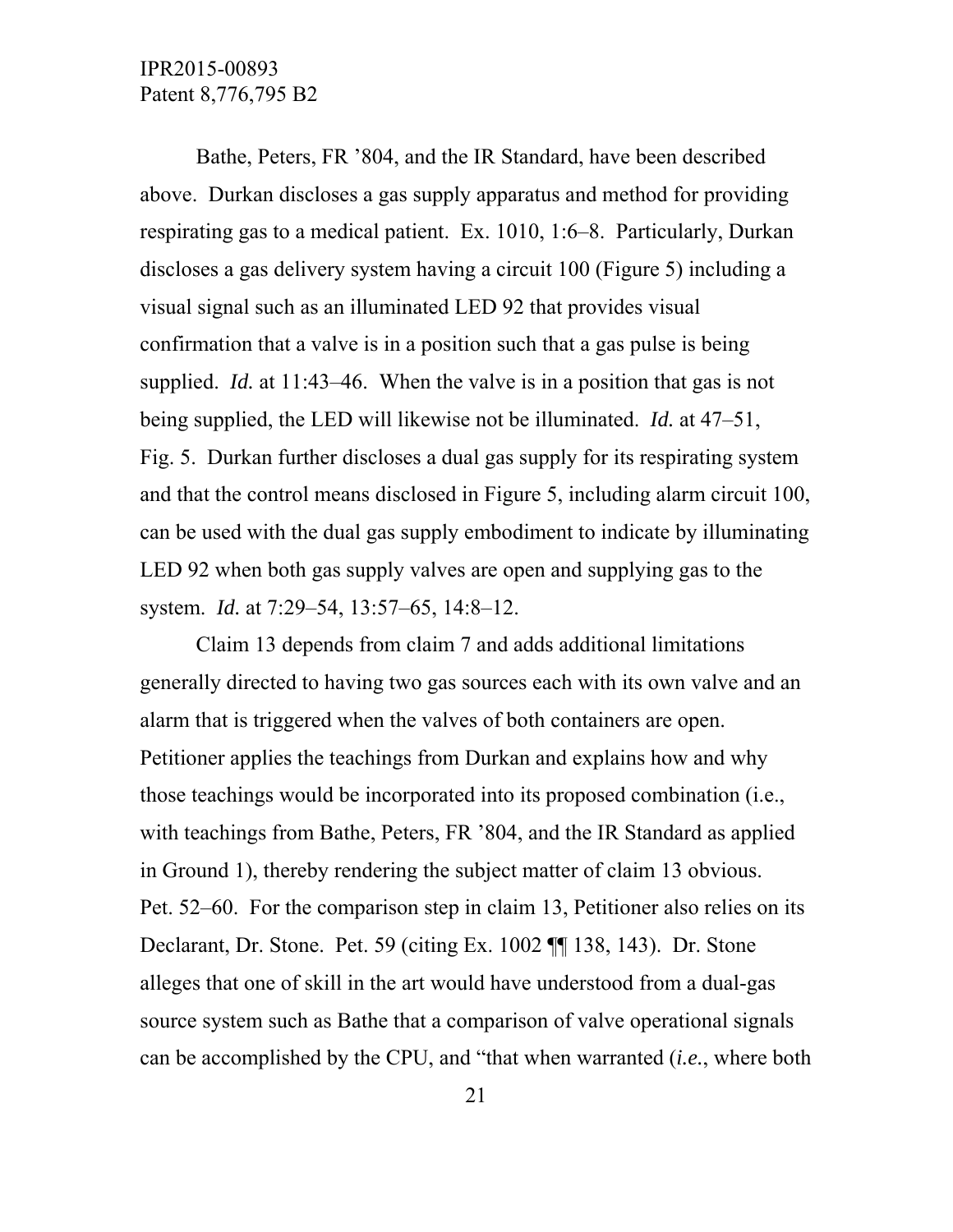Bathe, Peters, FR '804, and the IR Standard, have been described above. Durkan discloses a gas supply apparatus and method for providing respirating gas to a medical patient. Ex. 1010, 1:6–8. Particularly, Durkan discloses a gas delivery system having a circuit 100 (Figure 5) including a visual signal such as an illuminated LED 92 that provides visual confirmation that a valve is in a position such that a gas pulse is being supplied. *Id.* at 11:43–46. When the valve is in a position that gas is not being supplied, the LED will likewise not be illuminated. *Id.* at 47–51, Fig. 5. Durkan further discloses a dual gas supply for its respirating system and that the control means disclosed in Figure 5, including alarm circuit 100, can be used with the dual gas supply embodiment to indicate by illuminating LED 92 when both gas supply valves are open and supplying gas to the system. *Id.* at 7:29–54, 13:57–65, 14:8–12.

 Claim 13 depends from claim 7 and adds additional limitations generally directed to having two gas sources each with its own valve and an alarm that is triggered when the valves of both containers are open. Petitioner applies the teachings from Durkan and explains how and why those teachings would be incorporated into its proposed combination (i.e., with teachings from Bathe, Peters, FR '804, and the IR Standard as applied in Ground 1), thereby rendering the subject matter of claim 13 obvious. Pet. 52–60. For the comparison step in claim 13, Petitioner also relies on its Declarant, Dr. Stone. Pet. 59 (citing Ex. 1002 ¶¶ 138, 143). Dr. Stone alleges that one of skill in the art would have understood from a dual-gas source system such as Bathe that a comparison of valve operational signals can be accomplished by the CPU, and "that when warranted (*i.e.*, where both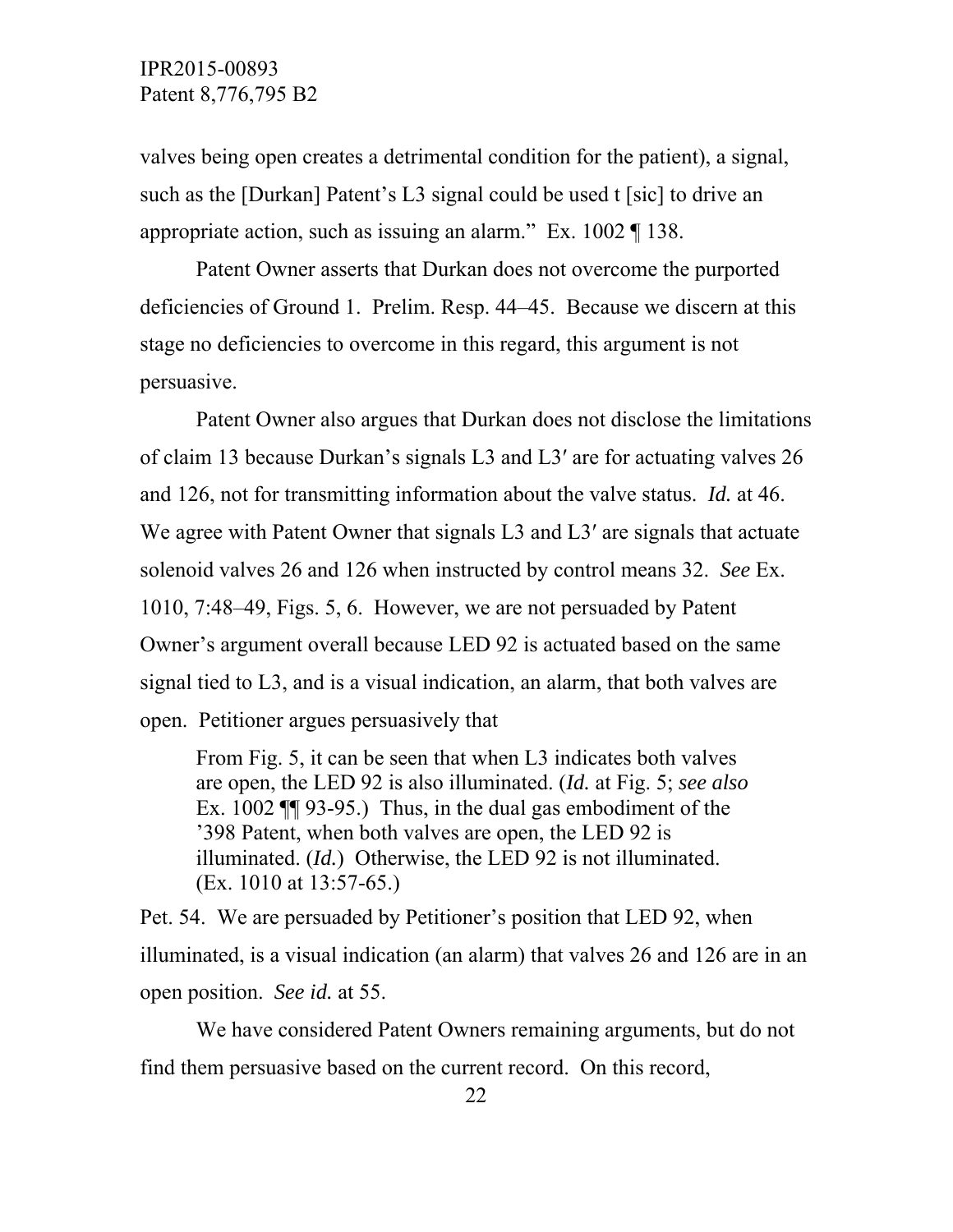valves being open creates a detrimental condition for the patient), a signal, such as the [Durkan] Patent's L3 signal could be used t [sic] to drive an appropriate action, such as issuing an alarm." Ex. 1002 ¶ 138.

 Patent Owner asserts that Durkan does not overcome the purported deficiencies of Ground 1. Prelim. Resp. 44–45. Because we discern at this stage no deficiencies to overcome in this regard, this argument is not persuasive.

 Patent Owner also argues that Durkan does not disclose the limitations of claim 13 because Durkan's signals L3 and L3ʹ are for actuating valves 26 and 126, not for transmitting information about the valve status. *Id.* at 46. We agree with Patent Owner that signals L3 and L3' are signals that actuate solenoid valves 26 and 126 when instructed by control means 32. *See* Ex. 1010, 7:48–49, Figs. 5, 6. However, we are not persuaded by Patent Owner's argument overall because LED 92 is actuated based on the same signal tied to L3, and is a visual indication, an alarm, that both valves are open. Petitioner argues persuasively that

From Fig. 5, it can be seen that when L3 indicates both valves are open, the LED 92 is also illuminated. (*Id.* at Fig. 5; *see also* Ex. 1002 ¶¶ 93-95.) Thus, in the dual gas embodiment of the '398 Patent, when both valves are open, the LED 92 is illuminated. (*Id.*) Otherwise, the LED 92 is not illuminated. (Ex. 1010 at 13:57-65.)

Pet. 54. We are persuaded by Petitioner's position that LED 92, when illuminated, is a visual indication (an alarm) that valves 26 and 126 are in an open position. *See id.* at 55.

 We have considered Patent Owners remaining arguments, but do not find them persuasive based on the current record. On this record,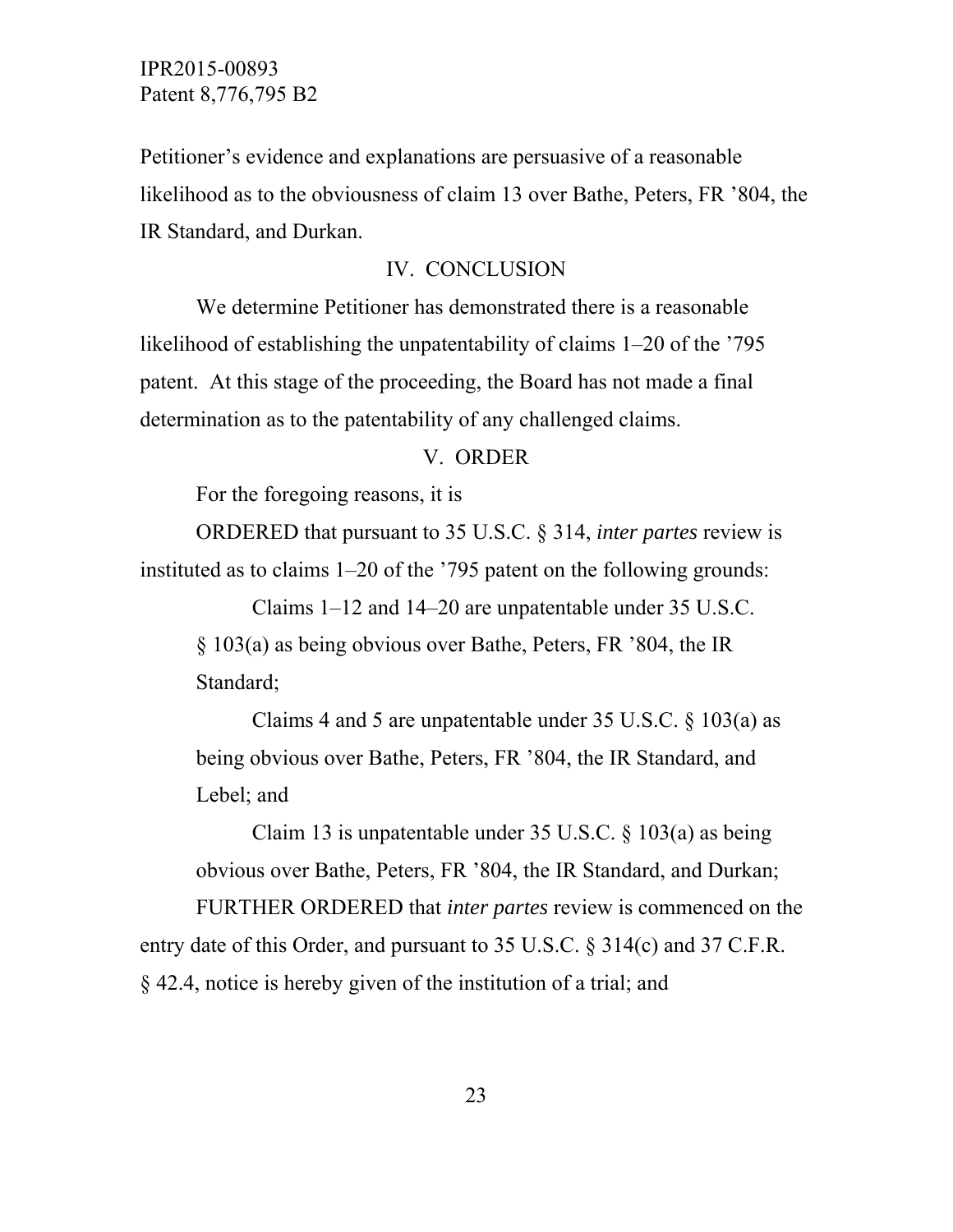Petitioner's evidence and explanations are persuasive of a reasonable likelihood as to the obviousness of claim 13 over Bathe, Peters, FR '804, the IR Standard, and Durkan.

### IV. CONCLUSION

 We determine Petitioner has demonstrated there is a reasonable likelihood of establishing the unpatentability of claims 1–20 of the '795 patent. At this stage of the proceeding, the Board has not made a final determination as to the patentability of any challenged claims.

#### V. ORDER

For the foregoing reasons, it is

 ORDERED that pursuant to 35 U.S.C. § 314, *inter partes* review is instituted as to claims 1–20 of the '795 patent on the following grounds:

 Claims 1–12 and 14–20 are unpatentable under 35 U.S.C. § 103(a) as being obvious over Bathe, Peters, FR '804, the IR Standard;

 Claims 4 and 5 are unpatentable under 35 U.S.C. § 103(a) as being obvious over Bathe, Peters, FR '804, the IR Standard, and Lebel; and

 Claim 13 is unpatentable under 35 U.S.C. § 103(a) as being obvious over Bathe, Peters, FR '804, the IR Standard, and Durkan;

 FURTHER ORDERED that *inter partes* review is commenced on the entry date of this Order, and pursuant to 35 U.S.C. § 314(c) and 37 C.F.R. § 42.4, notice is hereby given of the institution of a trial; and